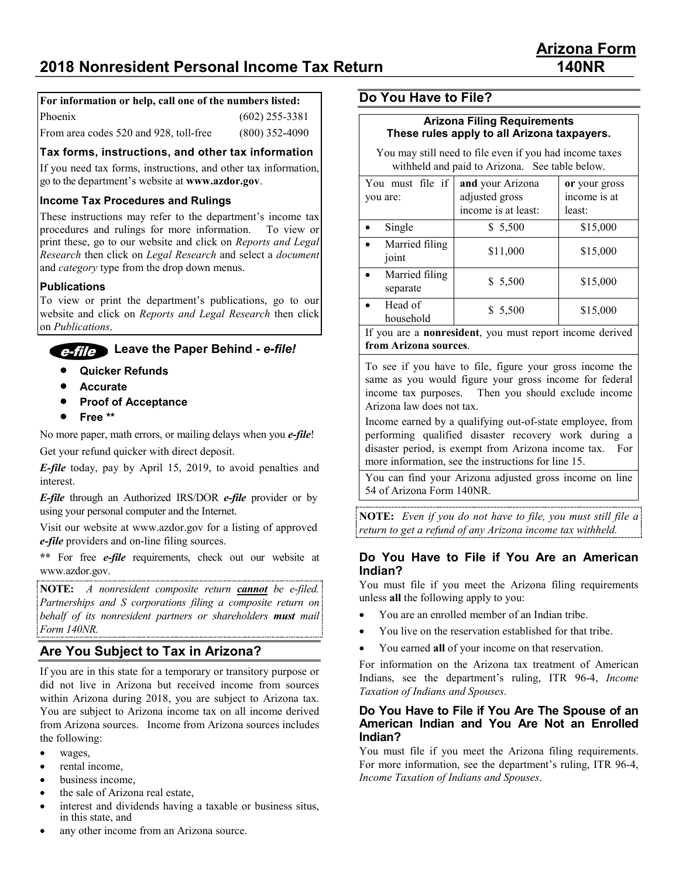## **For information or help, call one of the numbers listed:**

| Phoenix                                | $(602)$ 255-3381 |
|----------------------------------------|------------------|
| From area codes 520 and 928, toll-free | $(800)$ 352-4090 |

### **Tax forms, instructions, and other tax information**

If you need tax forms, instructions, and other tax information, go to the department's website at **www.azdor.gov**.

### **Income Tax Procedures and Rulings**

These instructions may refer to the department's income tax procedures and rulings for more information. To view or print these, go to our website and click on *Reports and Legal Research* then click on *Legal Research* and select a *document* and *category* type from the drop down menus.

### **Publications**

To view or print the department's publications, go to our website and click on *Reports and Legal Research* then click on *Publications*.

## **Leave the Paper Behind -** *e-file!*

- **Quicker Refunds**
- **Accurate**
- **Proof of Acceptance**
- **Free \*\***

No more paper, math errors, or mailing delays when you *e-file*!

Get your refund quicker with direct deposit.

*E-file* today, pay by April 15, 2019, to avoid penalties and interest.

*E-file* through an Authorized IRS/DOR *e-file* provider or by using your personal computer and the Internet.

Visit our website at www.azdor.gov for a listing of approved *e-file* providers and on-line filing sources.

**\*\*** For free *e-file* requirements, check out our website at www.azdor.gov.

**NOTE:** *A nonresident composite return cannot be e-filed. Partnerships and S corporations filing a composite return on behalf of its nonresident partners or shareholders must mail Form 140NR.*

## **Are You Subject to Tax in Arizona?**

If you are in this state for a temporary or transitory purpose or did not live in Arizona but received income from sources within Arizona during 2018, you are subject to Arizona tax. You are subject to Arizona income tax on all income derived from Arizona sources. Income from Arizona sources includes the following:

- wages,
- rental income.
- business income,
- the sale of Arizona real estate,
- interest and dividends having a taxable or business situs, in this state, and

**Do You Have to File?**

#### **Arizona Filing Requirements These rules apply to all Arizona taxpayers.**

You may still need to file even if you had income taxes withheld and paid to Arizona. See table below.

| You must file if<br>you are: | and your Arizona<br>adjusted gross<br>income is at least: | or your gross<br>income is at<br>least: |
|------------------------------|-----------------------------------------------------------|-----------------------------------------|
| Single                       | \$ 5,500                                                  | \$15,000                                |
| Married filing<br>joint      | \$11,000                                                  | \$15,000                                |
| Married filing<br>separate   | \$ 5,500                                                  | \$15,000                                |
| Head of<br>household         | \$5,500                                                   | \$15,000                                |
| $\mathbf{r}$ $\alpha$        |                                                           |                                         |

If you are a **nonresident**, you must report income derived **from Arizona sources**.

To see if you have to file, figure your gross income the same as you would figure your gross income for federal income tax purposes. Then you should exclude income Arizona law does not tax.

Income earned by a qualifying out-of-state employee, from performing qualified disaster recovery work during a disaster period, is exempt from Arizona income tax. For more information, see the instructions for line 15.

You can find your Arizona adjusted gross income on line 54 of Arizona Form 140NR.

**NOTE:** *Even if you do not have to file, you must still file a return to get a refund of any Arizona income tax withheld.*

### **Do You Have to File if You Are an American Indian?**

You must file if you meet the Arizona filing requirements unless **all** the following apply to you:

- You are an enrolled member of an Indian tribe.
- You live on the reservation established for that tribe.
- You earned **all** of your income on that reservation.

For information on the Arizona tax treatment of American Indians, see the department's ruling, ITR 96-4, *Income Taxation of Indians and Spouses*.

### **Do You Have to File if You Are The Spouse of an American Indian and You Are Not an Enrolled Indian?**

You must file if you meet the Arizona filing requirements. For more information, see the department's ruling, ITR 96-4, *Income Taxation of Indians and Spouses*.

any other income from an Arizona source.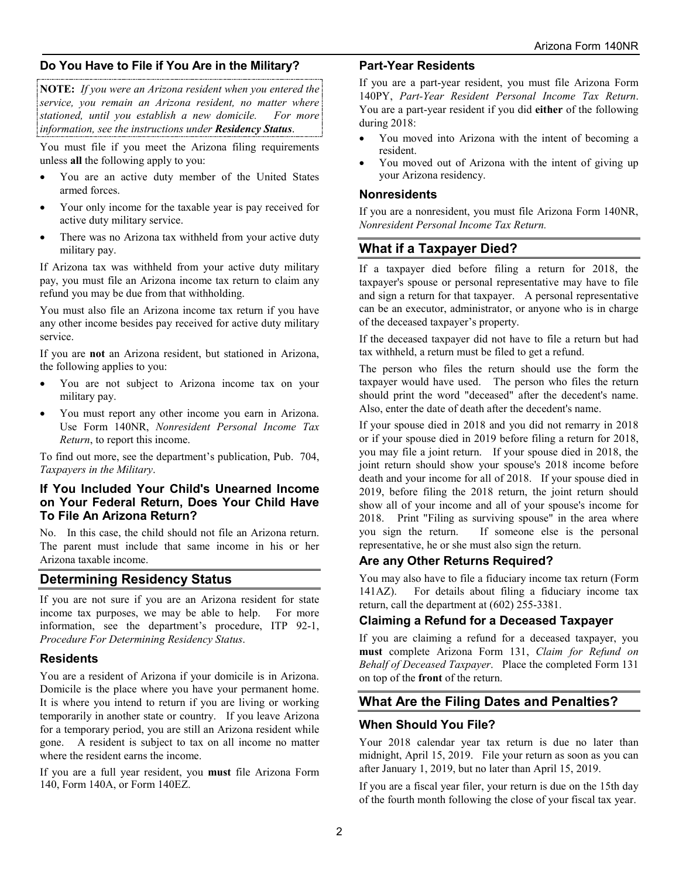## **Do You Have to File if You Are in the Military?**

**NOTE:** *If you were an Arizona resident when you entered the service, you remain an Arizona resident, no matter where stationed, until you establish a new domicile. For more information, see the instructions under Residency Status*.

You must file if you meet the Arizona filing requirements unless **all** the following apply to you:

- You are an active duty member of the United States armed forces.
- Your only income for the taxable year is pay received for active duty military service.
- There was no Arizona tax withheld from your active duty military pay.

If Arizona tax was withheld from your active duty military pay, you must file an Arizona income tax return to claim any refund you may be due from that withholding.

You must also file an Arizona income tax return if you have any other income besides pay received for active duty military service.

If you are **not** an Arizona resident, but stationed in Arizona, the following applies to you:

- You are not subject to Arizona income tax on your military pay.
- You must report any other income you earn in Arizona. Use Form 140NR, *Nonresident Personal Income Tax Return*, to report this income.

To find out more, see the department's publication, Pub. 704, *Taxpayers in the Military*.

#### **If You Included Your Child's Unearned Income on Your Federal Return, Does Your Child Have To File An Arizona Return?**

No. In this case, the child should not file an Arizona return. The parent must include that same income in his or her Arizona taxable income.

## **Determining Residency Status**

If you are not sure if you are an Arizona resident for state income tax purposes, we may be able to help. For more information, see the department's procedure, ITP 92-1, *Procedure For Determining Residency Status*.

### **Residents**

You are a resident of Arizona if your domicile is in Arizona. Domicile is the place where you have your permanent home. It is where you intend to return if you are living or working temporarily in another state or country. If you leave Arizona for a temporary period, you are still an Arizona resident while gone. A resident is subject to tax on all income no matter where the resident earns the income.

If you are a full year resident, you **must** file Arizona Form 140, Form 140A, or Form 140EZ.

#### **Part-Year Residents**

If you are a part-year resident, you must file Arizona Form 140PY, *Part-Year Resident Personal Income Tax Return*. You are a part-year resident if you did **either** of the following during 2018:

- You moved into Arizona with the intent of becoming a resident.
- You moved out of Arizona with the intent of giving up your Arizona residency.

#### **Nonresidents**

If you are a nonresident, you must file Arizona Form 140NR, *Nonresident Personal Income Tax Return.*

## **What if a Taxpayer Died?**

If a taxpayer died before filing a return for 2018, the taxpayer's spouse or personal representative may have to file and sign a return for that taxpayer. A personal representative can be an executor, administrator, or anyone who is in charge of the deceased taxpayer's property.

If the deceased taxpayer did not have to file a return but had tax withheld, a return must be filed to get a refund.

The person who files the return should use the form the taxpayer would have used. The person who files the return should print the word "deceased" after the decedent's name. Also, enter the date of death after the decedent's name.

If your spouse died in 2018 and you did not remarry in 2018 or if your spouse died in 2019 before filing a return for 2018, you may file a joint return. If your spouse died in 2018, the joint return should show your spouse's 2018 income before death and your income for all of 2018. If your spouse died in 2019, before filing the 2018 return, the joint return should show all of your income and all of your spouse's income for 2018. Print "Filing as surviving spouse" in the area where you sign the return. If someone else is the personal representative, he or she must also sign the return.

### **Are any Other Returns Required?**

You may also have to file a fiduciary income tax return (Form 141AZ). For details about filing a fiduciary income tax return, call the department at (602) 255-3381.

## **Claiming a Refund for a Deceased Taxpayer**

If you are claiming a refund for a deceased taxpayer, you **must** complete Arizona Form 131, *Claim for Refund on Behalf of Deceased Taxpayer*. Place the completed Form 131 on top of the **front** of the return.

## **What Are the Filing Dates and Penalties?**

### **When Should You File?**

Your 2018 calendar year tax return is due no later than midnight, April 15, 2019. File your return as soon as you can after January 1, 2019, but no later than April 15, 2019.

If you are a fiscal year filer, your return is due on the 15th day of the fourth month following the close of your fiscal tax year.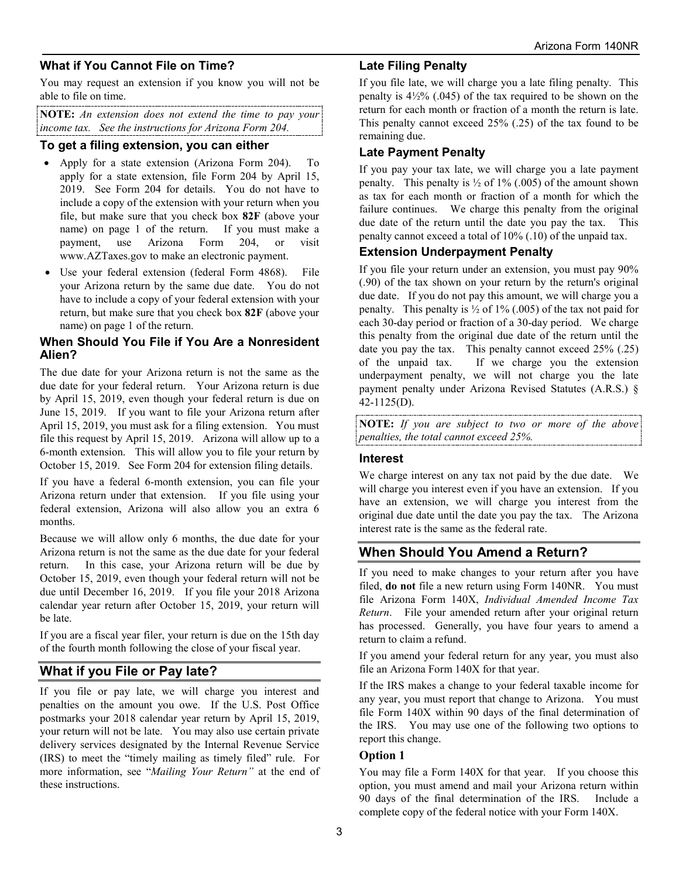## **What if You Cannot File on Time?**

You may request an extension if you know you will not be able to file on time.

**NOTE:** *An extension does not extend the time to pay your income tax. See the instructions for Arizona Form 204.*

### **To get a filing extension, you can either**

- Apply for a state extension (Arizona Form 204). To apply for a state extension, file Form 204 by April 15, 2019. See Form 204 for details. You do not have to include a copy of the extension with your return when you file, but make sure that you check box **82F** (above your name) on page 1 of the return. If you must make a payment, use Arizona Form 204, or visit www.AZTaxes.gov to make an electronic payment.
- Use your federal extension (federal Form 4868). File your Arizona return by the same due date. You do not have to include a copy of your federal extension with your return, but make sure that you check box **82F** (above your name) on page 1 of the return.

### **When Should You File if You Are a Nonresident Alien?**

The due date for your Arizona return is not the same as the due date for your federal return. Your Arizona return is due by April 15, 2019, even though your federal return is due on June 15, 2019. If you want to file your Arizona return after April 15, 2019, you must ask for a filing extension. You must file this request by April 15, 2019. Arizona will allow up to a 6-month extension. This will allow you to file your return by October 15, 2019. See Form 204 for extension filing details.

If you have a federal 6-month extension, you can file your Arizona return under that extension. If you file using your federal extension, Arizona will also allow you an extra 6 months.

Because we will allow only 6 months, the due date for your Arizona return is not the same as the due date for your federal return. In this case, your Arizona return will be due by October 15, 2019, even though your federal return will not be due until December 16, 2019. If you file your 2018 Arizona calendar year return after October 15, 2019, your return will be late.

If you are a fiscal year filer, your return is due on the 15th day of the fourth month following the close of your fiscal year.

## **What if you File or Pay late?**

If you file or pay late, we will charge you interest and penalties on the amount you owe. If the U.S. Post Office postmarks your 2018 calendar year return by April 15, 2019, your return will not be late. You may also use certain private delivery services designated by the Internal Revenue Service (IRS) to meet the "timely mailing as timely filed" rule. For more information, see "*Mailing Your Return"* at the end of these instructions.

### **Late Filing Penalty**

If you file late, we will charge you a late filing penalty. This penalty is  $4\frac{1}{2}\%$  (.045) of the tax required to be shown on the return for each month or fraction of a month the return is late. This penalty cannot exceed 25% (.25) of the tax found to be remaining due.

## **Late Payment Penalty**

If you pay your tax late, we will charge you a late payment penalty. This penalty is  $\frac{1}{2}$  of 1% (.005) of the amount shown as tax for each month or fraction of a month for which the failure continues. We charge this penalty from the original due date of the return until the date you pay the tax. This penalty cannot exceed a total of 10% (.10) of the unpaid tax.

### **Extension Underpayment Penalty**

If you file your return under an extension, you must pay 90% (.90) of the tax shown on your return by the return's original due date. If you do not pay this amount, we will charge you a penalty. This penalty is  $\frac{1}{2}$  of 1% (.005) of the tax not paid for each 30-day period or fraction of a 30-day period. We charge this penalty from the original due date of the return until the date you pay the tax. This penalty cannot exceed 25% (.25) of the unpaid tax. If we charge you the extension underpayment penalty, we will not charge you the late payment penalty under Arizona Revised Statutes (A.R.S.) § 42-1125(D).

**NOTE:** *If you are subject to two or more of the above penalties, the total cannot exceed 25%.*

#### **Interest**

We charge interest on any tax not paid by the due date. We will charge you interest even if you have an extension. If you have an extension, we will charge you interest from the original due date until the date you pay the tax. The Arizona interest rate is the same as the federal rate.

## **When Should You Amend a Return?**

If you need to make changes to your return after you have filed, **do not** file a new return using Form 140NR. You must file Arizona Form 140X, *Individual Amended Income Tax Return*. File your amended return after your original return has processed. Generally, you have four years to amend a return to claim a refund.

If you amend your federal return for any year, you must also file an Arizona Form 140X for that year.

If the IRS makes a change to your federal taxable income for any year, you must report that change to Arizona. You must file Form 140X within 90 days of the final determination of the IRS. You may use one of the following two options to report this change.

#### **Option 1**

You may file a Form 140X for that year. If you choose this option, you must amend and mail your Arizona return within 90 days of the final determination of the IRS. Include a complete copy of the federal notice with your Form 140X.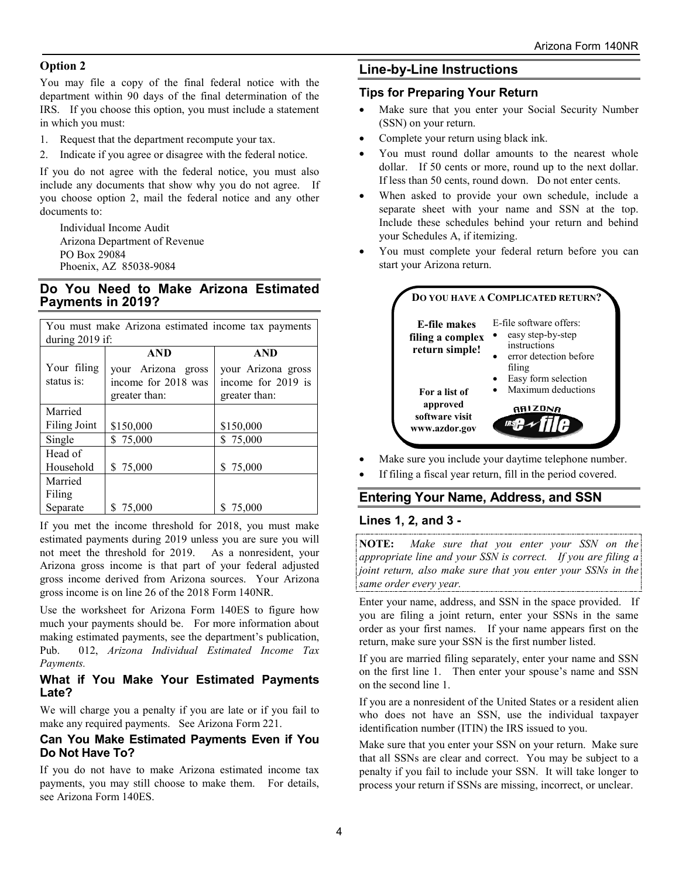#### **Option 2**

You may file a copy of the final federal notice with the department within 90 days of the final determination of the IRS. If you choose this option, you must include a statement in which you must:

1. Request that the department recompute your tax.

2. Indicate if you agree or disagree with the federal notice.

If you do not agree with the federal notice, you must also include any documents that show why you do not agree. If you choose option 2, mail the federal notice and any other documents to:

Individual Income Audit Arizona Department of Revenue PO Box 29084 Phoenix, AZ 85038-9084

## **Do You Need to Make Arizona Estimated Payments in 2019?**

| You must make Arizona estimated income tax payments |                     |                    |  |
|-----------------------------------------------------|---------------------|--------------------|--|
| during 2019 if:                                     |                     |                    |  |
|                                                     | <b>AND</b>          | <b>AND</b>         |  |
| Your filing                                         | your Arizona gross  | your Arizona gross |  |
| status is:                                          | income for 2018 was | income for 2019 is |  |
|                                                     | greater than:       | greater than:      |  |
| Married                                             |                     |                    |  |
| <b>Filing Joint</b>                                 | \$150,000           | \$150,000          |  |
| Single                                              | \$75,000            | \$75,000           |  |
| Head of                                             |                     |                    |  |
| Household                                           | \$75,000            | \$75,000           |  |
| Married                                             |                     |                    |  |
| Filing                                              |                     |                    |  |
| Separate                                            | \$75,000            | \$<br>75,000       |  |

If you met the income threshold for 2018, you must make estimated payments during 2019 unless you are sure you will not meet the threshold for 2019. As a nonresident, your Arizona gross income is that part of your federal adjusted gross income derived from Arizona sources. Your Arizona gross income is on line 26 of the 2018 Form 140NR.

Use the worksheet for Arizona Form 140ES to figure how much your payments should be. For more information about making estimated payments, see the department's publication, Pub. 012, *Arizona Individual Estimated Income Tax Payments.*

### **What if You Make Your Estimated Payments Late?**

We will charge you a penalty if you are late or if you fail to make any required payments. See Arizona Form 221.

### **Can You Make Estimated Payments Even if You Do Not Have To?**

If you do not have to make Arizona estimated income tax payments, you may still choose to make them. For details, see Arizona Form 140ES.

### **Line-by-Line Instructions**

#### **Tips for Preparing Your Return**

- Make sure that you enter your Social Security Number (SSN) on your return.
- Complete your return using black ink.
- You must round dollar amounts to the nearest whole dollar. If 50 cents or more, round up to the next dollar. If less than 50 cents, round down. Do not enter cents.
- When asked to provide your own schedule, include a separate sheet with your name and SSN at the top. Include these schedules behind your return and behind your Schedules A, if itemizing.
- You must complete your federal return before you can start your Arizona return.



- Make sure you include your daytime telephone number.
- If filing a fiscal year return, fill in the period covered.

## **Entering Your Name, Address, and SSN**

#### **Lines 1, 2, and 3 -**

**NOTE:** *Make sure that you enter your SSN on the appropriate line and your SSN is correct. If you are filing a joint return, also make sure that you enter your SSNs in the same order every year.* 

Enter your name, address, and SSN in the space provided. If you are filing a joint return, enter your SSNs in the same order as your first names. If your name appears first on the return, make sure your SSN is the first number listed.

If you are married filing separately, enter your name and SSN on the first line 1. Then enter your spouse's name and SSN on the second line 1.

If you are a nonresident of the United States or a resident alien who does not have an SSN, use the individual taxpayer identification number (ITIN) the IRS issued to you.

Make sure that you enter your SSN on your return. Make sure that all SSNs are clear and correct. You may be subject to a penalty if you fail to include your SSN. It will take longer to process your return if SSNs are missing, incorrect, or unclear.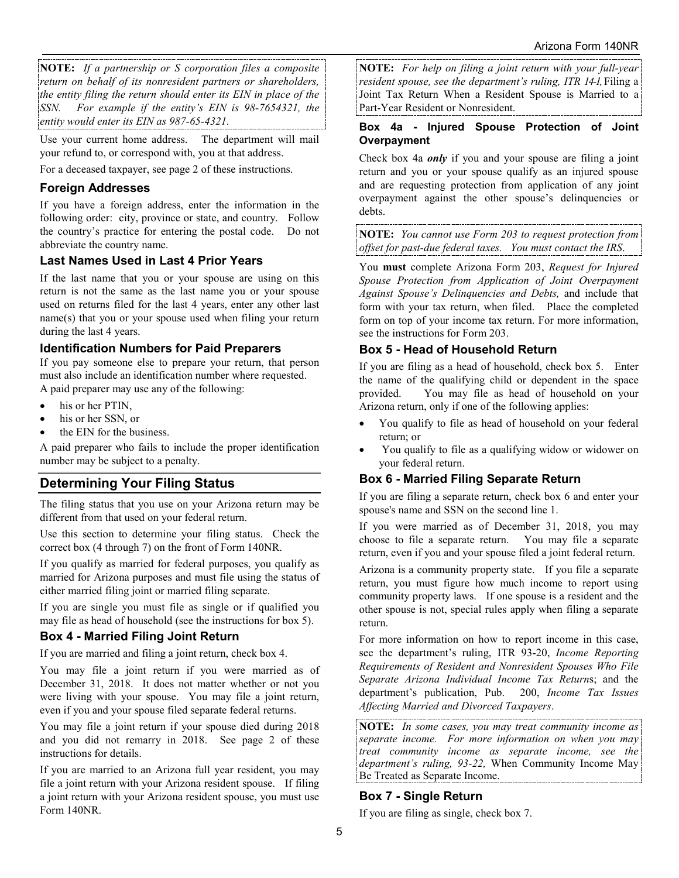**NOTE:** *If a partnership or S corporation files a composite return on behalf of its nonresident partners or shareholders, the entity filing the return should enter its EIN in place of the SSN. For example if the entity's EIN is 98-7654321, the entity would enter its EIN as 987-65-4321.* 

Use your current home address. The department will mail your refund to, or correspond with, you at that address.

For a deceased taxpayer, see page 2 of these instructions.

## **Foreign Addresses**

If you have a foreign address, enter the information in the following order: city, province or state, and country. Follow the country's practice for entering the postal code. Do not abbreviate the country name.

## **Last Names Used in Last 4 Prior Years**

If the last name that you or your spouse are using on this return is not the same as the last name you or your spouse used on returns filed for the last 4 years, enter any other last name(s) that you or your spouse used when filing your return during the last 4 years.

## **Identification Numbers for Paid Preparers**

If you pay someone else to prepare your return, that person must also include an identification number where requested. A paid preparer may use any of the following:

- his or her PTIN,
- his or her SSN, or
- the EIN for the business.

A paid preparer who fails to include the proper identification number may be subject to a penalty.

# **Determining Your Filing Status**

The filing status that you use on your Arizona return may be different from that used on your federal return.

Use this section to determine your filing status. Check the correct box (4 through 7) on the front of Form 140NR.

If you qualify as married for federal purposes, you qualify as married for Arizona purposes and must file using the status of either married filing joint or married filing separate.

If you are single you must file as single or if qualified you may file as head of household (see the instructions for box 5).

## **Box 4 - Married Filing Joint Return**

If you are married and filing a joint return, check box 4.

You may file a joint return if you were married as of December 31, 2018. It does not matter whether or not you were living with your spouse. You may file a joint return, even if you and your spouse filed separate federal returns.

You may file a joint return if your spouse died during 2018 and you did not remarry in 2018. See page 2 of these instructions for details.

If you are married to an Arizona full year resident, you may file a joint return with your Arizona resident spouse. If filing a joint return with your Arizona resident spouse, you must use Form 140NR.

**NOTE:** *For help on filing a joint return with your full-year resident spouse, see the department's ruling, ITR 14-1,* Filing a Joint Tax Return When a Resident Spouse is Married to a Part-Year Resident or Nonresident.

### **Box 4a - Injured Spouse Protection of Joint Overpayment**

Check box 4a *only* if you and your spouse are filing a joint return and you or your spouse qualify as an injured spouse and are requesting protection from application of any joint overpayment against the other spouse's delinquencies or debts.

**NOTE:** *You cannot use Form 203 to request protection from offset for past-due federal taxes. You must contact the IRS*.

You **must** complete Arizona Form 203, *Request for Injured Spouse Protection from Application of Joint Overpayment Against Spouse's Delinquencies and Debts,* and include that form with your tax return, when filed. Place the completed form on top of your income tax return. For more information, see the instructions for Form 203.

## **Box 5 - Head of Household Return**

If you are filing as a head of household, check box 5. Enter the name of the qualifying child or dependent in the space provided. You may file as head of household on your Arizona return, only if one of the following applies:

- You qualify to file as head of household on your federal return; or
- You qualify to file as a qualifying widow or widower on your federal return.

## **Box 6 - Married Filing Separate Return**

If you are filing a separate return, check box 6 and enter your spouse's name and SSN on the second line 1.

If you were married as of December 31, 2018, you may choose to file a separate return. You may file a separate return, even if you and your spouse filed a joint federal return.

Arizona is a community property state. If you file a separate return, you must figure how much income to report using community property laws. If one spouse is a resident and the other spouse is not, special rules apply when filing a separate return.

For more information on how to report income in this case, see the department's ruling, ITR 93-20, *Income Reporting Requirements of Resident and Nonresident Spouses Who File Separate Arizona Individual Income Tax Return*s; and the department's publication, Pub. 200, *Income Tax Issues Affecting Married and Divorced Taxpayers*.

**NOTE:** *In some cases, you may treat community income as separate income. For more information on when you may treat community income as separate income, see the department's ruling, 93-22,* When Community Income May Be Treated as Separate Income.

## **Box 7 - Single Return**

If you are filing as single, check box 7.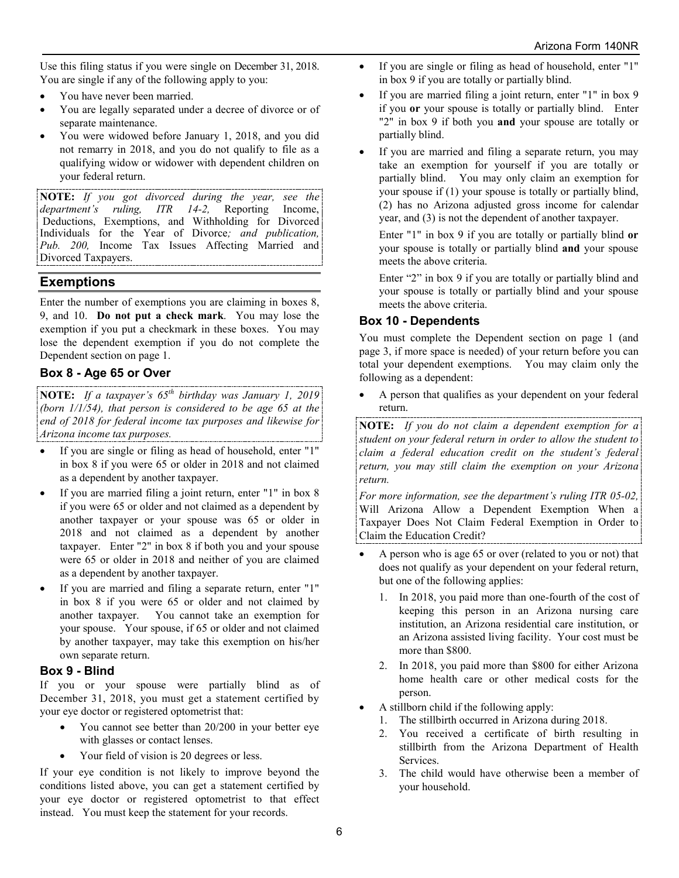Use this filing status if you were single on December 31, 2018. You are single if any of the following apply to you:

- You have never been married.
- You are legally separated under a decree of divorce or of separate maintenance.
- You were widowed before January 1, 2018, and you did not remarry in 2018, and you do not qualify to file as a qualifying widow or widower with dependent children on your federal return.

**NOTE:** *If you got divorced during the year, see the department's ruling, ITR 14-2,* Deductions, Exemptions, and Withholding for Divorced Individuals for the Year of Divorce*; and publication, Pub. 200,* Income Tax Issues Affecting Married and Divorced Taxpayers.

## **Exemptions**

Enter the number of exemptions you are claiming in boxes 8, 9, and 10. **Do not put a check mark**. You may lose the exemption if you put a checkmark in these boxes. You may lose the dependent exemption if you do not complete the Dependent section on page 1.

## **Box 8 - Age 65 or Over**

**NOTE:** *If a taxpayer's 65th birthday was January 1, 2019 (born 1/1/54), that person is considered to be age 65 at the end of 2018 for federal income tax purposes and likewise for Arizona income tax purposes.*

- If you are single or filing as head of household, enter "1" in box 8 if you were 65 or older in 2018 and not claimed as a dependent by another taxpayer.
- If you are married filing a joint return, enter "1" in box 8 if you were 65 or older and not claimed as a dependent by another taxpayer or your spouse was 65 or older in 2018 and not claimed as a dependent by another taxpayer. Enter "2" in box 8 if both you and your spouse were 65 or older in 2018 and neither of you are claimed as a dependent by another taxpayer.
- If you are married and filing a separate return, enter "1" in box 8 if you were 65 or older and not claimed by another taxpayer. You cannot take an exemption for your spouse. Your spouse, if 65 or older and not claimed by another taxpayer, may take this exemption on his/her own separate return.

### **Box 9 - Blind**

If you or your spouse were partially blind as of December 31, 2018, you must get a statement certified by your eye doctor or registered optometrist that:

- You cannot see better than 20/200 in your better eye with glasses or contact lenses.
- Your field of vision is 20 degrees or less.

If your eye condition is not likely to improve beyond the conditions listed above, you can get a statement certified by your eye doctor or registered optometrist to that effect instead. You must keep the statement for your records.

- If you are single or filing as head of household, enter "1" in box 9 if you are totally or partially blind.
- If you are married filing a joint return, enter "1" in box 9 if you **or** your spouse is totally or partially blind. Enter "2" in box 9 if both you **and** your spouse are totally or partially blind.
- If you are married and filing a separate return, you may take an exemption for yourself if you are totally or partially blind. You may only claim an exemption for your spouse if (1) your spouse is totally or partially blind, (2) has no Arizona adjusted gross income for calendar year, and (3) is not the dependent of another taxpayer.

Enter "1" in box 9 if you are totally or partially blind **or** your spouse is totally or partially blind **and** your spouse meets the above criteria.

Enter "2" in box 9 if you are totally or partially blind and your spouse is totally or partially blind and your spouse meets the above criteria.

## **Box 10 - Dependents**

You must complete the Dependent section on page 1 (and page 3, if more space is needed) of your return before you can total your dependent exemptions. You may claim only the following as a dependent:

• A person that qualifies as your dependent on your federal return.

**NOTE:** *If you do not claim a dependent exemption for a student on your federal return in order to allow the student to claim a federal education credit on the student's federal return, you may still claim the exemption on your Arizona return.*

*For more information, see the department's ruling ITR 05-02,*  Will Arizona Allow a Dependent Exemption When a Taxpayer Does Not Claim Federal Exemption in Order to Claim the Education Credit?

- A person who is age 65 or over (related to you or not) that does not qualify as your dependent on your federal return, but one of the following applies:
	- 1. In 2018, you paid more than one-fourth of the cost of keeping this person in an Arizona nursing care institution, an Arizona residential care institution, or an Arizona assisted living facility. Your cost must be more than \$800.
	- 2. In 2018, you paid more than \$800 for either Arizona home health care or other medical costs for the person.
- A stillborn child if the following apply:
	- 1. The stillbirth occurred in Arizona during 2018.
	- 2. You received a certificate of birth resulting in stillbirth from the Arizona Department of Health Services.
	- 3. The child would have otherwise been a member of your household.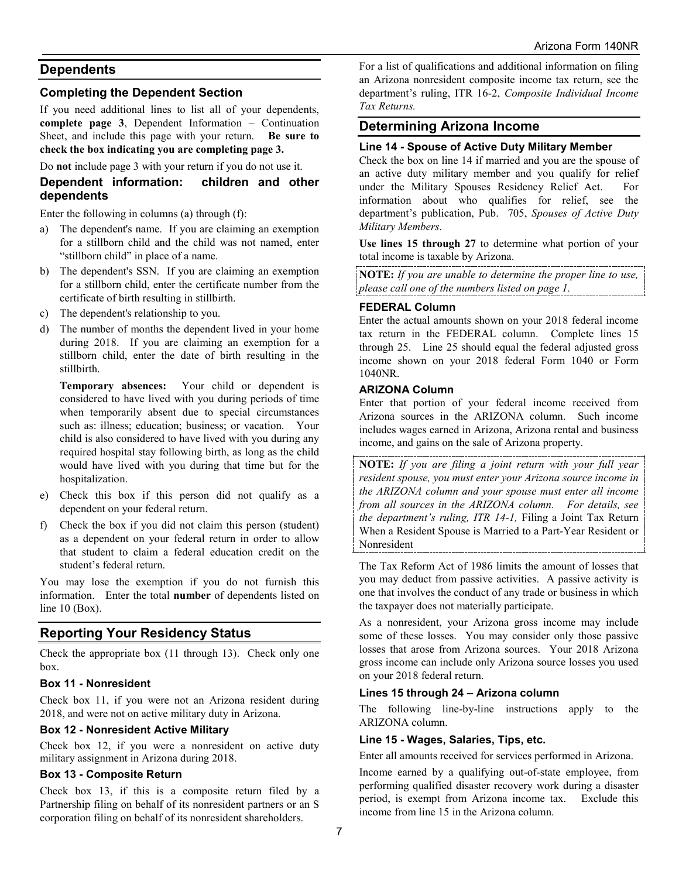## **Dependents**

### **Completing the Dependent Section**

If you need additional lines to list all of your dependents, **complete page 3**, Dependent Information – Continuation Sheet, and include this page with your return. **Be sure to check the box indicating you are completing page 3.** 

Do **not** include page 3 with your return if you do not use it.

### **Dependent information: children and other dependents**

Enter the following in columns (a) through (f):

- a) The dependent's name. If you are claiming an exemption for a stillborn child and the child was not named, enter "stillborn child" in place of a name.
- b) The dependent's SSN. If you are claiming an exemption for a stillborn child, enter the certificate number from the certificate of birth resulting in stillbirth.
- c) The dependent's relationship to you.
- d) The number of months the dependent lived in your home during 2018. If you are claiming an exemption for a stillborn child, enter the date of birth resulting in the stillbirth.

**Temporary absences:** Your child or dependent is considered to have lived with you during periods of time when temporarily absent due to special circumstances such as: illness; education; business; or vacation. Your child is also considered to have lived with you during any required hospital stay following birth, as long as the child would have lived with you during that time but for the hospitalization.

- e) Check this box if this person did not qualify as a dependent on your federal return.
- f) Check the box if you did not claim this person (student) as a dependent on your federal return in order to allow that student to claim a federal education credit on the student's federal return.

You may lose the exemption if you do not furnish this information. Enter the total **number** of dependents listed on line 10 (Box).

## **Reporting Your Residency Status**

Check the appropriate box (11 through 13). Check only one box.

#### **Box 11 - Nonresident**

Check box 11, if you were not an Arizona resident during 2018, and were not on active military duty in Arizona.

#### **Box 12 - Nonresident Active Military**

Check box 12, if you were a nonresident on active duty military assignment in Arizona during 2018.

#### **Box 13 - Composite Return**

Check box 13, if this is a composite return filed by a Partnership filing on behalf of its nonresident partners or an S corporation filing on behalf of its nonresident shareholders.

For a list of qualifications and additional information on filing an Arizona nonresident composite income tax return, see the department's ruling, ITR 16-2, *Composite Individual Income Tax Returns.*

#### **Determining Arizona Income**

#### **Line 14 - Spouse of Active Duty Military Member**

Check the box on line 14 if married and you are the spouse of an active duty military member and you qualify for relief under the Military Spouses Residency Relief Act. For information about who qualifies for relief, see the department's publication, Pub. 705, *Spouses of Active Duty Military Members*.

**Use lines 15 through 27** to determine what portion of your total income is taxable by Arizona.

**NOTE:** *If you are unable to determine the proper line to use, please call one of the numbers listed on page 1.*

#### **FEDERAL Column**

Enter the actual amounts shown on your 2018 federal income tax return in the FEDERAL column. Complete lines 15 through 25. Line 25 should equal the federal adjusted gross income shown on your 2018 federal Form 1040 or Form 1040NR.

#### **ARIZONA Column**

Enter that portion of your federal income received from Arizona sources in the ARIZONA column. Such income includes wages earned in Arizona, Arizona rental and business income, and gains on the sale of Arizona property.

**NOTE:** *If you are filing a joint return with your full year resident spouse, you must enter your Arizona source income in the ARIZONA column and your spouse must enter all income from all sources in the ARIZONA column. For details, see the department's ruling, ITR 14-1,* Filing a Joint Tax Return When a Resident Spouse is Married to a Part-Year Resident or Nonresident

The Tax Reform Act of 1986 limits the amount of losses that you may deduct from passive activities. A passive activity is one that involves the conduct of any trade or business in which the taxpayer does not materially participate.

As a nonresident, your Arizona gross income may include some of these losses. You may consider only those passive losses that arose from Arizona sources. Your 2018 Arizona gross income can include only Arizona source losses you used on your 2018 federal return.

#### **Lines 15 through 24 – Arizona column**

The following line-by-line instructions apply to the ARIZONA column.

#### **Line 15 - Wages, Salaries, Tips, etc.**

Enter all amounts received for services performed in Arizona.

Income earned by a qualifying out-of-state employee, from performing qualified disaster recovery work during a disaster period, is exempt from Arizona income tax. Exclude this income from line 15 in the Arizona column.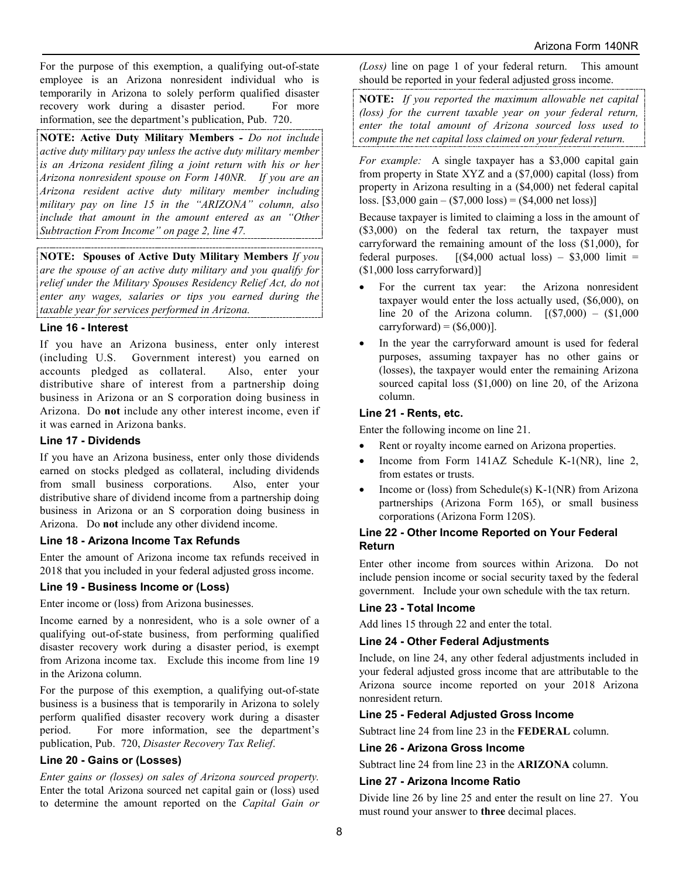For the purpose of this exemption, a qualifying out-of-state employee is an Arizona nonresident individual who is temporarily in Arizona to solely perform qualified disaster recovery work during a disaster period. For more information, see the department's publication, Pub. 720.

**NOTE: Active Duty Military Members** *- Do not include active duty military pay unless the active duty military member is an Arizona resident filing a joint return with his or her Arizona nonresident spouse on Form 140NR. If you are an Arizona resident active duty military member including military pay on line 15 in the "ARIZONA" column, also include that amount in the amount entered as an "Other Subtraction From Income" on page 2, line 47.* 

**NOTE: Spouses of Active Duty Military Members** *If you are the spouse of an active duty military and you qualify for relief under the Military Spouses Residency Relief Act, do not enter any wages, salaries or tips you earned during the taxable year for services performed in Arizona.*

#### **Line 16 - Interest**

If you have an Arizona business, enter only interest (including U.S. Government interest) you earned on accounts pledged as collateral. Also, enter your distributive share of interest from a partnership doing business in Arizona or an S corporation doing business in Arizona. Do **not** include any other interest income, even if it was earned in Arizona banks.

#### **Line 17 - Dividends**

If you have an Arizona business, enter only those dividends earned on stocks pledged as collateral, including dividends from small business corporations. Also, enter your distributive share of dividend income from a partnership doing business in Arizona or an S corporation doing business in Arizona. Do **not** include any other dividend income.

### **Line 18 - Arizona Income Tax Refunds**

Enter the amount of Arizona income tax refunds received in 2018 that you included in your federal adjusted gross income.

#### **Line 19 - Business Income or (Loss)**

Enter income or (loss) from Arizona businesses.

Income earned by a nonresident, who is a sole owner of a qualifying out-of-state business, from performing qualified disaster recovery work during a disaster period, is exempt from Arizona income tax. Exclude this income from line 19 in the Arizona column.

For the purpose of this exemption, a qualifying out-of-state business is a business that is temporarily in Arizona to solely perform qualified disaster recovery work during a disaster period. For more information, see the department's publication, Pub. 720, *Disaster Recovery Tax Relief*.

### **Line 20 - Gains or (Losses)**

*Enter gains or (losses) on sales of Arizona sourced property.*  Enter the total Arizona sourced net capital gain or (loss) used to determine the amount reported on the *Capital Gain or*  *(Loss)* line on page 1 of your federal return. This amount should be reported in your federal adjusted gross income.

**NOTE:** *If you reported the maximum allowable net capital (loss) for the current taxable year on your federal return, enter the total amount of Arizona sourced loss used to compute the net capital loss claimed on your federal return.*

*For example:* A single taxpayer has a \$3,000 capital gain from property in State XYZ and a (\$7,000) capital (loss) from property in Arizona resulting in a (\$4,000) net federal capital loss.  $[$3,000 \text{ gain} - ($7,000 \text{ loss}) = ($4,000 \text{ net loss})]$ 

Because taxpayer is limited to claiming a loss in the amount of (\$3,000) on the federal tax return, the taxpayer must carryforward the remaining amount of the loss (\$1,000), for federal purposes.  $[(\$4,000 \text{ actual loss}) - \$3,000 \text{ limit} =$ (\$1,000 loss carryforward)]

- For the current tax year: the Arizona nonresident taxpayer would enter the loss actually used, (\$6,000), on line 20 of the Arizona column.  $[(\$7,000) - (\$1,000)$  $carryforward$  =  $($6,000$ ].
- In the year the carryforward amount is used for federal purposes, assuming taxpayer has no other gains or (losses), the taxpayer would enter the remaining Arizona sourced capital loss (\$1,000) on line 20, of the Arizona column.

#### **Line 21 - Rents, etc.**

Enter the following income on line 21.

- Rent or royalty income earned on Arizona properties.
- Income from Form 141AZ Schedule K-1(NR), line 2, from estates or trusts.
- Income or (loss) from Schedule(s) K-1(NR) from Arizona partnerships (Arizona Form 165), or small business corporations (Arizona Form 120S).

#### **Line 22 - Other Income Reported on Your Federal Return**

Enter other income from sources within Arizona. Do not include pension income or social security taxed by the federal government. Include your own schedule with the tax return.

#### **Line 23 - Total Income**

Add lines 15 through 22 and enter the total.

#### **Line 24 - Other Federal Adjustments**

Include, on line 24, any other federal adjustments included in your federal adjusted gross income that are attributable to the Arizona source income reported on your 2018 Arizona nonresident return.

#### **Line 25 - Federal Adjusted Gross Income**

Subtract line 24 from line 23 in the **FEDERAL** column.

#### **Line 26 - Arizona Gross Income**

Subtract line 24 from line 23 in the **ARIZONA** column.

### **Line 27 - Arizona Income Ratio**

Divide line 26 by line 25 and enter the result on line 27. You must round your answer to **three** decimal places.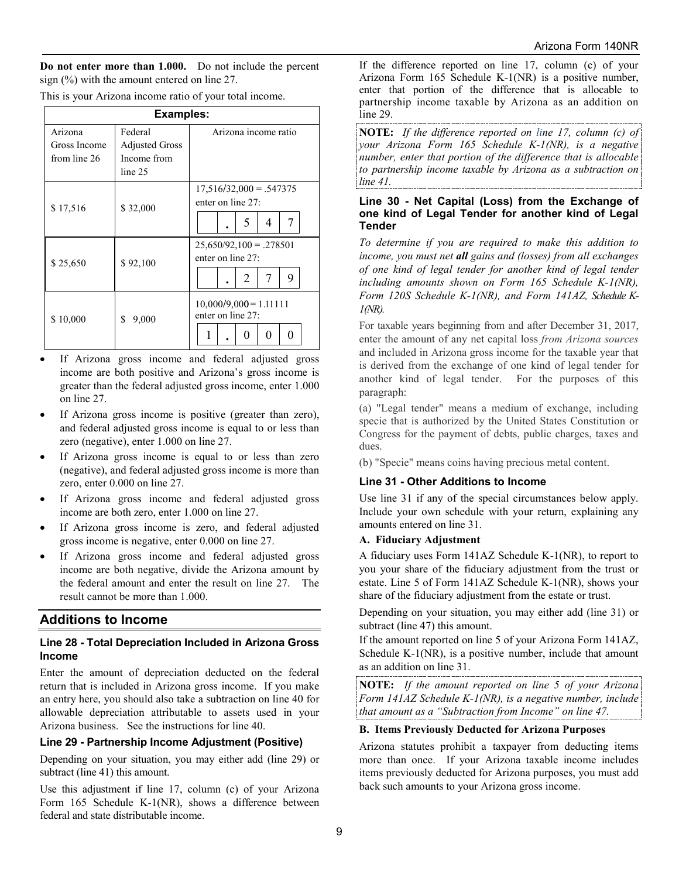**Do not enter more than 1.000.** Do not include the percent sign (%) with the amount entered on line 27.

|  |  |  | This is your Arizona income ratio of your total income. |
|--|--|--|---------------------------------------------------------|
|  |  |  |                                                         |

| <b>Examples:</b>                        |                                                            |                                                             |  |
|-----------------------------------------|------------------------------------------------------------|-------------------------------------------------------------|--|
| Arizona<br>Gross Income<br>from line 26 | Federal<br><b>Adjusted Gross</b><br>Income from<br>line 25 | Arizona income ratio                                        |  |
| \$17,516                                | \$32,000                                                   | $17,516/32,000 = .547375$<br>enter on line $27$ :<br>5<br>4 |  |
| \$25,650                                | \$92,100                                                   | $25,650/92,100 = .278501$<br>enter on line $27$ :<br>9<br>2 |  |
| \$10,000                                | \$<br>9,000                                                | $10,000/9,000 = 1.11111$<br>enter on line 27:               |  |

- If Arizona gross income and federal adjusted gross income are both positive and Arizona's gross income is greater than the federal adjusted gross income, enter 1.000 on line 27.
- If Arizona gross income is positive (greater than zero), and federal adjusted gross income is equal to or less than zero (negative), enter 1.000 on line 27.
- If Arizona gross income is equal to or less than zero (negative), and federal adjusted gross income is more than zero, enter 0.000 on line 27.
- If Arizona gross income and federal adjusted gross income are both zero, enter 1.000 on line 27.
- If Arizona gross income is zero, and federal adjusted gross income is negative, enter 0.000 on line 27.
- If Arizona gross income and federal adjusted gross income are both negative, divide the Arizona amount by the federal amount and enter the result on line 27. The result cannot be more than 1.000.

### **Additions to Income**

#### **Line 28 - Total Depreciation Included in Arizona Gross Income**

Enter the amount of depreciation deducted on the federal return that is included in Arizona gross income. If you make an entry here, you should also take a subtraction on line 40 for allowable depreciation attributable to assets used in your Arizona business. See the instructions for line 40.

#### **Line 29 - Partnership Income Adjustment (Positive)**

Depending on your situation, you may either add (line 29) or subtract (line 41) this amount.

Use this adjustment if line 17, column (c) of your Arizona Form 165 Schedule K-1(NR), shows a difference between federal and state distributable income.

If the difference reported on line 17, column (c) of your Arizona Form 165 Schedule K-1(NR) is a positive number, enter that portion of the difference that is allocable to partnership income taxable by Arizona as an addition on line 29.

**NOTE:** *If the difference reported on line 17, column (c) of your Arizona Form 165 Schedule K-1(NR), is a negative number, enter that portion of the difference that is allocable to partnership income taxable by Arizona as a subtraction on line 41.*

#### **Line 30 - Net Capital (Loss) from the Exchange of one kind of Legal Tender for another kind of Legal Tender**

*To determine if you are required to make this addition to income, you must net all gains and (losses) from all exchanges of one kind of legal tender for another kind of legal tender including amounts shown on Form 165 Schedule K-1(NR), Form 120S Schedule K-1(NR), and Form 141AZ, Schedule K-1(NR).* 

For taxable years beginning from and after December 31, 2017, enter the amount of any net capital loss *from Arizona sources* and included in Arizona gross income for the taxable year that is derived from the exchange of one kind of legal tender for another kind of legal tender. For the purposes of this paragraph:

(a) "Legal tender" means a medium of exchange, including specie that is authorized by the United States Constitution or Congress for the payment of debts, public charges, taxes and dues.

(b) "Specie" means coins having precious metal content.

#### **Line 31 - Other Additions to Income**

Use line 31 if any of the special circumstances below apply. Include your own schedule with your return, explaining any amounts entered on line 31.

#### **A. Fiduciary Adjustment**

A fiduciary uses Form 141AZ Schedule K-1(NR), to report to you your share of the fiduciary adjustment from the trust or estate. Line 5 of Form 141AZ Schedule K-1(NR), shows your share of the fiduciary adjustment from the estate or trust.

Depending on your situation, you may either add (line 31) or subtract (line 47) this amount.

If the amount reported on line 5 of your Arizona Form 141AZ, Schedule K-1(NR), is a positive number, include that amount as an addition on line 31.

**NOTE:** *If the amount reported on line 5 of your Arizona Form 141AZ Schedule K-1(NR), is a negative number, include that amount as a "Subtraction from Income" on line 47.*

#### **B. Items Previously Deducted for Arizona Purposes**

Arizona statutes prohibit a taxpayer from deducting items more than once. If your Arizona taxable income includes items previously deducted for Arizona purposes, you must add back such amounts to your Arizona gross income.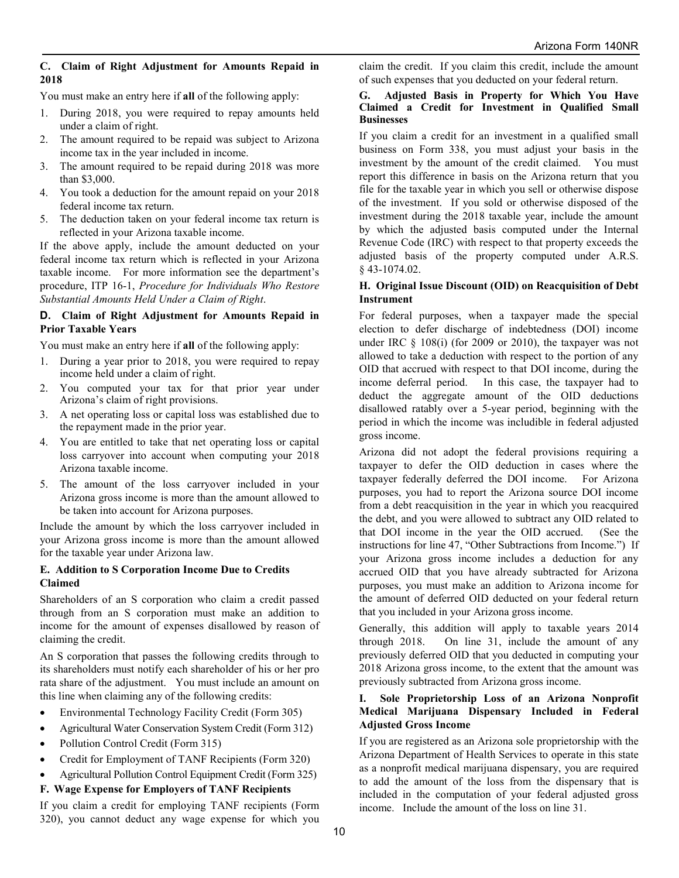#### **C. Claim of Right Adjustment for Amounts Repaid in 2018**

You must make an entry here if **all** of the following apply:

- 1. During 2018, you were required to repay amounts held under a claim of right.
- 2. The amount required to be repaid was subject to Arizona income tax in the year included in income.
- 3. The amount required to be repaid during 2018 was more than \$3,000.
- 4. You took a deduction for the amount repaid on your 2018 federal income tax return.
- 5. The deduction taken on your federal income tax return is reflected in your Arizona taxable income.

If the above apply, include the amount deducted on your federal income tax return which is reflected in your Arizona taxable income. For more information see the department's procedure, ITP 16-1, *Procedure for Individuals Who Restore Substantial Amounts Held Under a Claim of Right*.

#### **D. Claim of Right Adjustment for Amounts Repaid in Prior Taxable Years**

You must make an entry here if **all** of the following apply:

- 1. During a year prior to 2018, you were required to repay income held under a claim of right.
- 2. You computed your tax for that prior year under Arizona's claim of right provisions.
- 3. A net operating loss or capital loss was established due to the repayment made in the prior year.
- 4. You are entitled to take that net operating loss or capital loss carryover into account when computing your 2018 Arizona taxable income.
- 5. The amount of the loss carryover included in your Arizona gross income is more than the amount allowed to be taken into account for Arizona purposes.

Include the amount by which the loss carryover included in your Arizona gross income is more than the amount allowed for the taxable year under Arizona law.

#### **E. Addition to S Corporation Income Due to Credits Claimed**

Shareholders of an S corporation who claim a credit passed through from an S corporation must make an addition to income for the amount of expenses disallowed by reason of claiming the credit.

An S corporation that passes the following credits through to its shareholders must notify each shareholder of his or her pro rata share of the adjustment. You must include an amount on this line when claiming any of the following credits:

- Environmental Technology Facility Credit (Form 305)
- Agricultural Water Conservation System Credit (Form 312)
- Pollution Control Credit (Form 315)
- Credit for Employment of TANF Recipients (Form 320)
- Agricultural Pollution Control Equipment Credit (Form 325)

### **F. Wage Expense for Employers of TANF Recipients**

If you claim a credit for employing TANF recipients (Form 320), you cannot deduct any wage expense for which you claim the credit. If you claim this credit, include the amount of such expenses that you deducted on your federal return.

#### **G. Adjusted Basis in Property for Which You Have Claimed a Credit for Investment in Qualified Small Businesses**

If you claim a credit for an investment in a qualified small business on Form 338, you must adjust your basis in the investment by the amount of the credit claimed. You must report this difference in basis on the Arizona return that you file for the taxable year in which you sell or otherwise dispose of the investment. If you sold or otherwise disposed of the investment during the 2018 taxable year, include the amount by which the adjusted basis computed under the Internal Revenue Code (IRC) with respect to that property exceeds the adjusted basis of the property computed under A.R.S. § 43-1074.02.

#### **H. Original Issue Discount (OID) on Reacquisition of Debt Instrument**

For federal purposes, when a taxpayer made the special election to defer discharge of indebtedness (DOI) income under IRC § 108(i) (for 2009 or 2010), the taxpayer was not allowed to take a deduction with respect to the portion of any OID that accrued with respect to that DOI income, during the income deferral period. In this case, the taxpayer had to deduct the aggregate amount of the OID deductions disallowed ratably over a 5-year period, beginning with the period in which the income was includible in federal adjusted gross income.

Arizona did not adopt the federal provisions requiring a taxpayer to defer the OID deduction in cases where the taxpayer federally deferred the DOI income. For Arizona purposes, you had to report the Arizona source DOI income from a debt reacquisition in the year in which you reacquired the debt, and you were allowed to subtract any OID related to that DOI income in the year the OID accrued. (See the instructions for line 47, "Other Subtractions from Income.") If your Arizona gross income includes a deduction for any accrued OID that you have already subtracted for Arizona purposes, you must make an addition to Arizona income for the amount of deferred OID deducted on your federal return that you included in your Arizona gross income.

Generally, this addition will apply to taxable years 2014 through 2018. On line 31, include the amount of any previously deferred OID that you deducted in computing your 2018 Arizona gross income, to the extent that the amount was previously subtracted from Arizona gross income.

#### **I. Sole Proprietorship Loss of an Arizona Nonprofit Medical Marijuana Dispensary Included in Federal Adjusted Gross Income**

If you are registered as an Arizona sole proprietorship with the Arizona Department of Health Services to operate in this state as a nonprofit medical marijuana dispensary, you are required to add the amount of the loss from the dispensary that is included in the computation of your federal adjusted gross income. Include the amount of the loss on line 31.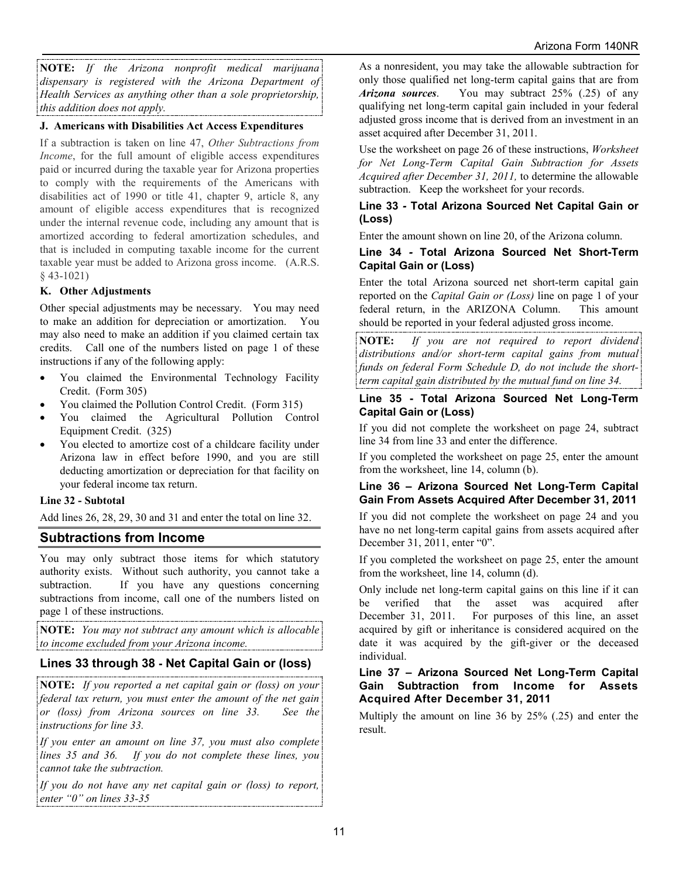**NOTE:** *If the Arizona nonprofit medical marijuana dispensary is registered with the Arizona Department of Health Services as anything other than a sole proprietorship, this addition does not apply.*

### **J. Americans with Disabilities Act Access Expenditures**

If a subtraction is taken on line 47, *Other Subtractions from Income*, for the full amount of eligible access expenditures paid or incurred during the taxable year for Arizona properties to comply with the requirements of the Americans with disabilities act of 1990 or title 41, chapter 9, article 8, any amount of eligible access expenditures that is recognized under the internal revenue code, including any amount that is amortized according to federal amortization schedules, and that is included in computing taxable income for the current taxable year must be added to Arizona gross income. (A.R.S. § 43-1021)

## **K. Other Adjustments**

Other special adjustments may be necessary. You may need to make an addition for depreciation or amortization. You may also need to make an addition if you claimed certain tax credits. Call one of the numbers listed on page 1 of these instructions if any of the following apply:

- You claimed the Environmental Technology Facility Credit. (Form 305)
- You claimed the Pollution Control Credit. (Form 315)
- You claimed the Agricultural Pollution Control Equipment Credit. (325)
- You elected to amortize cost of a childcare facility under Arizona law in effect before 1990, and you are still deducting amortization or depreciation for that facility on your federal income tax return.

### **Line 32 - Subtotal**

Add lines 26, 28, 29, 30 and 31 and enter the total on line 32.

## **Subtractions from Income**

You may only subtract those items for which statutory authority exists. Without such authority, you cannot take a subtraction. If you have any questions concerning subtractions from income, call one of the numbers listed on page 1 of these instructions.

**NOTE:** *You may not subtract any amount which is allocable to income excluded from your Arizona income.*

## **Lines 33 through 38 - Net Capital Gain or (loss)**

**NOTE:** *If you reported a net capital gain or (loss) on your federal tax return, you must enter the amount of the net gain or (loss) from Arizona sources on line 33. See the instructions for line 33.* 

*If you enter an amount on line 37, you must also complete lines 35 and 36. If you do not complete these lines, you cannot take the subtraction.*

*If you do not have any net capital gain or (loss) to report, enter "0" on lines 33-35*

As a nonresident, you may take the allowable subtraction for only those qualified net long-term capital gains that are from *Arizona sources*. You may subtract 25% (.25) of any qualifying net long-term capital gain included in your federal adjusted gross income that is derived from an investment in an asset acquired after December 31, 2011.

Use the worksheet on page 26 of these instructions, *Worksheet for Net Long-Term Capital Gain Subtraction for Assets Acquired after December 31, 2011,* to determine the allowable subtraction. Keep the worksheet for your records.

#### **Line 33** *-* **Total Arizona Sourced Net Capital Gain or (Loss)**

Enter the amount shown on line 20, of the Arizona column.

#### **Line 34** *-* **Total Arizona Sourced Net Short-Term Capital Gain or (Loss)**

Enter the total Arizona sourced net short-term capital gain reported on the *Capital Gain or (Loss)* line on page 1 of your federal return, in the ARIZONA Column. This amount should be reported in your federal adjusted gross income.

**NOTE:** *If you are not required to report dividend distributions and/or short-term capital gains from mutual funds on federal Form Schedule D, do not include the shortterm capital gain distributed by the mutual fund on line 34.*

#### **Line 35 - Total Arizona Sourced Net Long-Term Capital Gain or (Loss)**

If you did not complete the worksheet on page 24, subtract line 34 from line 33 and enter the difference.

If you completed the worksheet on page 25, enter the amount from the worksheet, line 14, column (b).

#### **Line 36 – Arizona Sourced Net Long-Term Capital Gain From Assets Acquired After December 31, 2011**

If you did not complete the worksheet on page 24 and you have no net long-term capital gains from assets acquired after December 31, 2011, enter "0".

If you completed the worksheet on page 25, enter the amount from the worksheet, line 14, column (d).

Only include net long-term capital gains on this line if it can be verified that the asset was acquired after<br>December 31, 2011. For purposes of this line, an asset For purposes of this line, an asset acquired by gift or inheritance is considered acquired on the date it was acquired by the gift-giver or the deceased individual.

### **Line 37 – Arizona Sourced Net Long-Term Capital Gain Subtraction from Income for Assets Acquired After December 31, 2011**

Multiply the amount on line 36 by 25% (.25) and enter the result.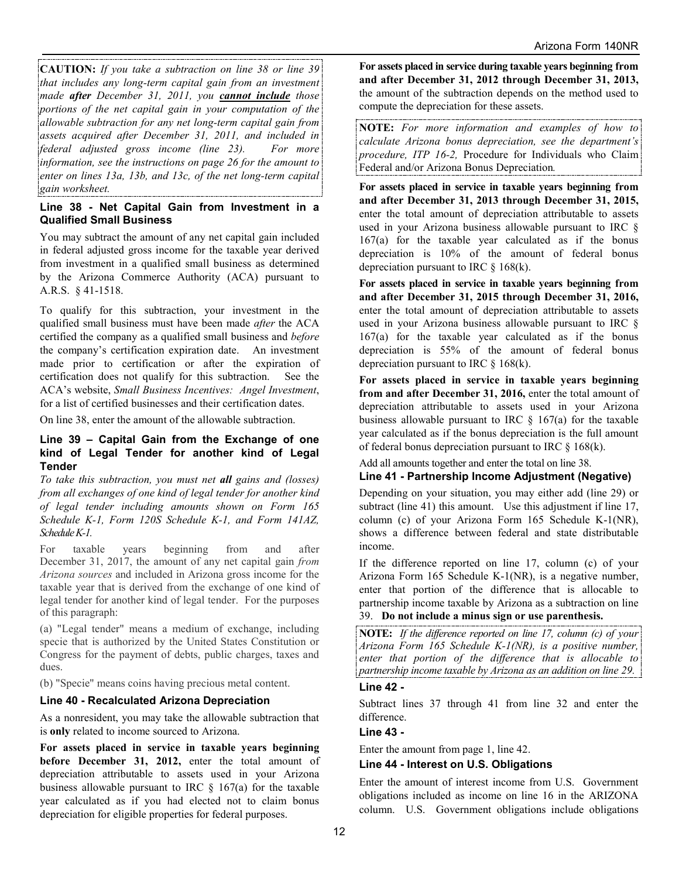**CAUTION:** *If you take a subtraction on line 38 or line 39 that includes any long-term capital gain from an investment made after December 31, 2011, you cannot include those portions of the net capital gain in your computation of the allowable subtraction for any net long-term capital gain from assets acquired after December 31, 2011, and included in federal adjusted gross income (line 23). For more information, see the instructions on page 26 for the amount to enter on lines 13a, 13b, and 13c, of the net long-term capital gain worksheet.*

#### **Line 38 - Net Capital Gain from Investment in a Qualified Small Business**

You may subtract the amount of any net capital gain included in federal adjusted gross income for the taxable year derived from investment in a qualified small business as determined by the Arizona Commerce Authority (ACA) pursuant to A.R.S. § 41-1518.

To qualify for this subtraction, your investment in the qualified small business must have been made *after* the ACA certified the company as a qualified small business and *before* the company's certification expiration date. An investment made prior to certification or after the expiration of certification does not qualify for this subtraction. See the ACA's website, *Small Business Incentives: Angel Investment*, for a list of certified businesses and their certification dates.

On line 38, enter the amount of the allowable subtraction.

#### **Line 39 – Capital Gain from the Exchange of one kind of Legal Tender for another kind of Legal Tender**

*To take this subtraction, you must net all gains and (losses) from all exchanges of one kind of legal tender for another kind of legal tender including amounts shown on Form 165 Schedule K-1, Form 120S Schedule K-1, and Form 141AZ, Schedule K-1.*

For taxable years beginning from and after December 31, 2017, the amount of any net capital gain *from Arizona sources* and included in Arizona gross income for the taxable year that is derived from the exchange of one kind of legal tender for another kind of legal tender. For the purposes of this paragraph:

(a) "Legal tender" means a medium of exchange, including specie that is authorized by the United States Constitution or Congress for the payment of debts, public charges, taxes and dues.

(b) "Specie" means coins having precious metal content.

### **Line 40 - Recalculated Arizona Depreciation**

As a nonresident, you may take the allowable subtraction that is **only** related to income sourced to Arizona.

**For assets placed in service in taxable years beginning before December 31, 2012,** enter the total amount of depreciation attributable to assets used in your Arizona business allowable pursuant to IRC  $\S$  167(a) for the taxable year calculated as if you had elected not to claim bonus depreciation for eligible properties for federal purposes.

**For assets placed in service during taxable years beginning from and after December 31, 2012 through December 31, 2013,** the amount of the subtraction depends on the method used to compute the depreciation for these assets.

**NOTE:** *For more information and examples of how to calculate Arizona bonus depreciation, see the department's procedure, ITP 16-2,* Procedure for Individuals who Claim Federal and/or Arizona Bonus Depreciation*.* 

**For assets placed in service in taxable years beginning from and after December 31, 2013 through December 31, 2015,**  enter the total amount of depreciation attributable to assets used in your Arizona business allowable pursuant to IRC § 167(a) for the taxable year calculated as if the bonus depreciation is 10% of the amount of federal bonus depreciation pursuant to IRC § 168(k).

**For assets placed in service in taxable years beginning from and after December 31, 2015 through December 31, 2016,** enter the total amount of depreciation attributable to assets used in your Arizona business allowable pursuant to IRC § 167(a) for the taxable year calculated as if the bonus depreciation is 55% of the amount of federal bonus depreciation pursuant to IRC  $\&$  168(k).

**For assets placed in service in taxable years beginning from and after December 31, 2016,** enter the total amount of depreciation attributable to assets used in your Arizona business allowable pursuant to IRC  $\S$  167(a) for the taxable year calculated as if the bonus depreciation is the full amount of federal bonus depreciation pursuant to IRC § 168(k).

Add all amounts together and enter the total on line 38.

### **Line 41 - Partnership Income Adjustment (Negative)**

Depending on your situation, you may either add (line 29) or subtract (line 41) this amount. Use this adjustment if line 17, column (c) of your Arizona Form 165 Schedule K-1(NR), shows a difference between federal and state distributable income.

If the difference reported on line 17, column (c) of your Arizona Form 165 Schedule K-1(NR), is a negative number, enter that portion of the difference that is allocable to partnership income taxable by Arizona as a subtraction on line

## 39. **Do not include a minus sign or use parenthesis.**

**NOTE:** *If the difference reported on line 17, column (c) of your Arizona Form 165 Schedule K-1(NR), is a positive number, enter that portion of the difference that is allocable to partnership income taxable by Arizona as an addition on line 29.*

### **Line 42 -**

Subtract lines 37 through 41 from line 32 and enter the difference.

### **Line 43 -**

Enter the amount from page 1, line 42.

#### **Line 44 - Interest on U.S. Obligations**

Enter the amount of interest income from U.S. Government obligations included as income on line 16 in the ARIZONA column. U.S. Government obligations include obligations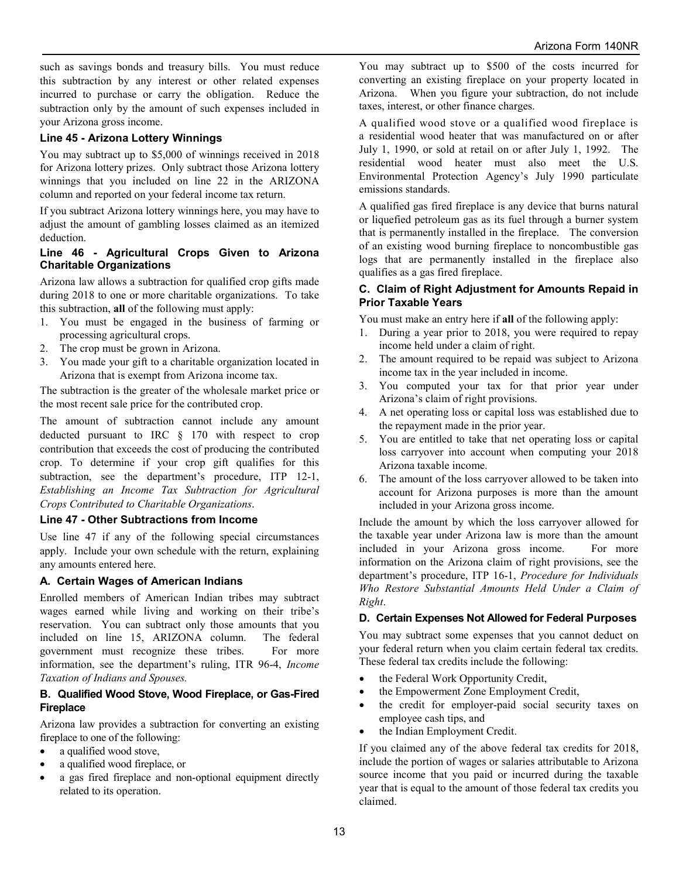such as savings bonds and treasury bills. You must reduce this subtraction by any interest or other related expenses incurred to purchase or carry the obligation. Reduce the subtraction only by the amount of such expenses included in your Arizona gross income.

### **Line 45 - Arizona Lottery Winnings**

You may subtract up to \$5,000 of winnings received in 2018 for Arizona lottery prizes. Only subtract those Arizona lottery winnings that you included on line 22 in the ARIZONA column and reported on your federal income tax return.

If you subtract Arizona lottery winnings here, you may have to adjust the amount of gambling losses claimed as an itemized deduction.

#### **Line 46 - Agricultural Crops Given to Arizona Charitable Organizations**

Arizona law allows a subtraction for qualified crop gifts made during 2018 to one or more charitable organizations. To take this subtraction, **all** of the following must apply:

- 1. You must be engaged in the business of farming or processing agricultural crops.
- 2. The crop must be grown in Arizona.
- 3. You made your gift to a charitable organization located in Arizona that is exempt from Arizona income tax.

The subtraction is the greater of the wholesale market price or the most recent sale price for the contributed crop.

The amount of subtraction cannot include any amount deducted pursuant to IRC § 170 with respect to crop contribution that exceeds the cost of producing the contributed crop. To determine if your crop gift qualifies for this subtraction, see the department's procedure, ITP 12-1, *Establishing an Income Tax Subtraction for Agricultural Crops Contributed to Charitable Organizations*.

### **Line 47 - Other Subtractions from Income**

Use line 47 if any of the following special circumstances apply. Include your own schedule with the return, explaining any amounts entered here.

## **A. Certain Wages of American Indians**

Enrolled members of American Indian tribes may subtract wages earned while living and working on their tribe's reservation. You can subtract only those amounts that you included on line 15, ARIZONA column. The federal government must recognize these tribes. For more information, see the department's ruling, ITR 96-4, *Income Taxation of Indians and Spouses.*

### **B. Qualified Wood Stove, Wood Fireplace, or Gas-Fired Fireplace**

Arizona law provides a subtraction for converting an existing fireplace to one of the following:

- a qualified wood stove,
- a qualified wood fireplace, or
- a gas fired fireplace and non-optional equipment directly related to its operation.

You may subtract up to \$500 of the costs incurred for converting an existing fireplace on your property located in Arizona. When you figure your subtraction, do not include taxes, interest, or other finance charges.

A qualified wood stove or a qualified wood fireplace is a residential wood heater that was manufactured on or after July 1, 1990, or sold at retail on or after July 1, 1992. The residential wood heater must also meet the U.S. Environmental Protection Agency's July 1990 particulate emissions standards.

A qualified gas fired fireplace is any device that burns natural or liquefied petroleum gas as its fuel through a burner system that is permanently installed in the fireplace. The conversion of an existing wood burning fireplace to noncombustible gas logs that are permanently installed in the fireplace also qualifies as a gas fired fireplace.

### **C. Claim of Right Adjustment for Amounts Repaid in Prior Taxable Years**

You must make an entry here if **all** of the following apply:

- 1. During a year prior to 2018, you were required to repay income held under a claim of right.
- 2. The amount required to be repaid was subject to Arizona income tax in the year included in income.
- 3. You computed your tax for that prior year under Arizona's claim of right provisions.
- 4. A net operating loss or capital loss was established due to the repayment made in the prior year.
- 5. You are entitled to take that net operating loss or capital loss carryover into account when computing your 2018 Arizona taxable income.
- 6. The amount of the loss carryover allowed to be taken into account for Arizona purposes is more than the amount included in your Arizona gross income.

Include the amount by which the loss carryover allowed for the taxable year under Arizona law is more than the amount included in your Arizona gross income. For more information on the Arizona claim of right provisions, see the department's procedure, ITP 16-1, *Procedure for Individuals Who Restore Substantial Amounts Held Under a Claim of Right*.

## **D. Certain Expenses Not Allowed for Federal Purposes**

You may subtract some expenses that you cannot deduct on your federal return when you claim certain federal tax credits. These federal tax credits include the following:

- the Federal Work Opportunity Credit,
- the Empowerment Zone Employment Credit,
- the credit for employer-paid social security taxes on employee cash tips, and
- the Indian Employment Credit.

If you claimed any of the above federal tax credits for 2018, include the portion of wages or salaries attributable to Arizona source income that you paid or incurred during the taxable year that is equal to the amount of those federal tax credits you claimed.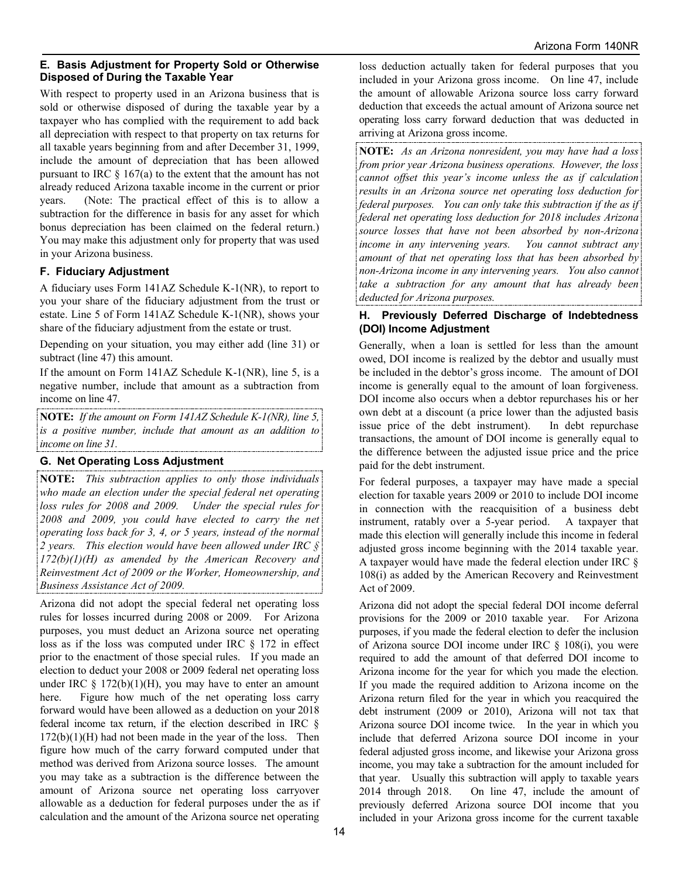## **E. Basis Adjustment for Property Sold or Otherwise Disposed of During the Taxable Year**

With respect to property used in an Arizona business that is sold or otherwise disposed of during the taxable year by a taxpayer who has complied with the requirement to add back all depreciation with respect to that property on tax returns for all taxable years beginning from and after December 31, 1999, include the amount of depreciation that has been allowed pursuant to IRC  $\frac{1}{2}$  167(a) to the extent that the amount has not already reduced Arizona taxable income in the current or prior years. (Note: The practical effect of this is to allow a subtraction for the difference in basis for any asset for which bonus depreciation has been claimed on the federal return.) You may make this adjustment only for property that was used in your Arizona business.

## **F. Fiduciary Adjustment**

A fiduciary uses Form 141AZ Schedule K-1(NR), to report to you your share of the fiduciary adjustment from the trust or estate. Line 5 of Form 141AZ Schedule K-1(NR), shows your share of the fiduciary adjustment from the estate or trust.

Depending on your situation, you may either add (line 31) or subtract (line 47) this amount.

If the amount on Form 141AZ Schedule K-1(NR), line 5, is a negative number, include that amount as a subtraction from income on line 47.

**NOTE:** *If the amount on Form 141AZ Schedule K-1(NR), line 5, is a positive number, include that amount as an addition to income on line 31.*

## **G. Net Operating Loss Adjustment**

**NOTE:** *This subtraction applies to only those individuals who made an election under the special federal net operating loss rules for 2008 and 2009. Under the special rules for 2008 and 2009, you could have elected to carry the net operating loss back for 3, 4, or 5 years, instead of the normal 2 years. This election would have been allowed under IRC § 172(b)(1)(H) as amended by the American Recovery and Reinvestment Act of 2009 or the Worker, Homeownership, and Business Assistance Act of 2009.*

Arizona did not adopt the special federal net operating loss rules for losses incurred during 2008 or 2009. For Arizona purposes, you must deduct an Arizona source net operating loss as if the loss was computed under IRC § 172 in effect prior to the enactment of those special rules. If you made an election to deduct your 2008 or 2009 federal net operating loss under IRC  $\S$  172(b)(1)(H), you may have to enter an amount here. Figure how much of the net operating loss carry forward would have been allowed as a deduction on your 2018 federal income tax return, if the election described in IRC §  $172(b)(1)(H)$  had not been made in the year of the loss. Then figure how much of the carry forward computed under that method was derived from Arizona source losses. The amount you may take as a subtraction is the difference between the amount of Arizona source net operating loss carryover allowable as a deduction for federal purposes under the as if calculation and the amount of the Arizona source net operating

loss deduction actually taken for federal purposes that you included in your Arizona gross income. On line 47, include the amount of allowable Arizona source loss carry forward deduction that exceeds the actual amount of Arizona source net operating loss carry forward deduction that was deducted in arriving at Arizona gross income.

**NOTE:** *As an Arizona nonresident, you may have had a loss from prior year Arizona business operations. However, the loss cannot offset this year's income unless the as if calculation results in an Arizona source net operating loss deduction for federal purposes. You can only take this subtraction if the as if federal net operating loss deduction for 2018 includes Arizona source losses that have not been absorbed by non-Arizona income in any intervening years. You cannot subtract any amount of that net operating loss that has been absorbed by non-Arizona income in any intervening years. You also cannot take a subtraction for any amount that has already been deducted for Arizona purposes.* 

### **H. Previously Deferred Discharge of Indebtedness (DOI) Income Adjustment**

Generally, when a loan is settled for less than the amount owed, DOI income is realized by the debtor and usually must be included in the debtor's gross income. The amount of DOI income is generally equal to the amount of loan forgiveness. DOI income also occurs when a debtor repurchases his or her own debt at a discount (a price lower than the adjusted basis issue price of the debt instrument). In debt repurchase transactions, the amount of DOI income is generally equal to the difference between the adjusted issue price and the price paid for the debt instrument.

For federal purposes, a taxpayer may have made a special election for taxable years 2009 or 2010 to include DOI income in connection with the reacquisition of a business debt instrument, ratably over a 5-year period. A taxpayer that made this election will generally include this income in federal adjusted gross income beginning with the 2014 taxable year. A taxpayer would have made the federal election under IRC § 108(i) as added by the American Recovery and Reinvestment Act of 2009.

Arizona did not adopt the special federal DOI income deferral provisions for the 2009 or 2010 taxable year. For Arizona purposes, if you made the federal election to defer the inclusion of Arizona source DOI income under IRC § 108(i), you were required to add the amount of that deferred DOI income to Arizona income for the year for which you made the election. If you made the required addition to Arizona income on the Arizona return filed for the year in which you reacquired the debt instrument (2009 or 2010), Arizona will not tax that Arizona source DOI income twice. In the year in which you include that deferred Arizona source DOI income in your federal adjusted gross income, and likewise your Arizona gross income, you may take a subtraction for the amount included for that year. Usually this subtraction will apply to taxable years 2014 through 2018. On line 47, include the amount of previously deferred Arizona source DOI income that you included in your Arizona gross income for the current taxable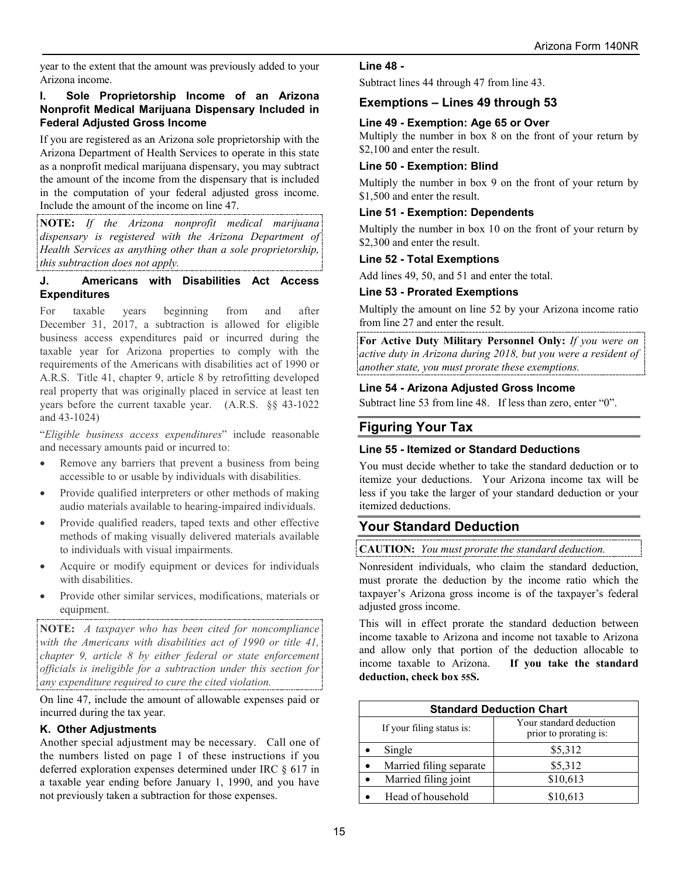year to the extent that the amount was previously added to your Arizona income.

#### **I. Sole Proprietorship Income of an Arizona Nonprofit Medical Marijuana Dispensary Included in Federal Adjusted Gross Income**

If you are registered as an Arizona sole proprietorship with the Arizona Department of Health Services to operate in this state as a nonprofit medical marijuana dispensary, you may subtract the amount of the income from the dispensary that is included in the computation of your federal adjusted gross income. Include the amount of the income on line 47.

**NOTE:** *If the Arizona nonprofit medical marijuana dispensary is registered with the Arizona Department of Health Services as anything other than a sole proprietorship, this subtraction does not apply.*

### **J. Americans with Disabilities Act Access Expenditures**

For taxable years beginning from and after December 31, 2017, a subtraction is allowed for eligible business access expenditures paid or incurred during the taxable year for Arizona properties to comply with the requirements of the Americans with disabilities act of 1990 or A.R.S. Title 41, chapter 9, article 8 by retrofitting developed real property that was originally placed in service at least ten years before the current taxable year. (A.R.S. §§ 43-1022 and 43-1024)

"*Eligible business access expenditures*" include reasonable and necessary amounts paid or incurred to:

- Remove any barriers that prevent a business from being accessible to or usable by individuals with disabilities.
- Provide qualified interpreters or other methods of making audio materials available to hearing-impaired individuals.
- Provide qualified readers, taped texts and other effective methods of making visually delivered materials available to individuals with visual impairments.
- Acquire or modify equipment or devices for individuals with disabilities.
- Provide other similar services, modifications, materials or equipment.

**NOTE:** *A taxpayer who has been cited for noncompliance with the Americans with disabilities act of 1990 or title 41, chapter 9, article 8 by either federal or state enforcement officials is ineligible for a subtraction under this section for any expenditure required to cure the cited violation.* 

On line 47, include the amount of allowable expenses paid or incurred during the tax year.

### **K. Other Adjustments**

Another special adjustment may be necessary. Call one of the numbers listed on page 1 of these instructions if you deferred exploration expenses determined under IRC § 617 in a taxable year ending before January 1, 1990, and you have not previously taken a subtraction for those expenses.

**Line 48 -**

Subtract lines 44 through 47 from line 43.

## **Exemptions – Lines 49 through 53**

## **Line 49 - Exemption: Age 65 or Over**

Multiply the number in box 8 on the front of your return by \$2,100 and enter the result.

### **Line 50 - Exemption: Blind**

Multiply the number in box 9 on the front of your return by \$1,500 and enter the result.

### **Line 51 - Exemption: Dependents**

Multiply the number in box 10 on the front of your return by \$2,300 and enter the result.

#### **Line 52 - Total Exemptions**

Add lines 49, 50, and 51 and enter the total.

#### **Line 53 - Prorated Exemptions**

Multiply the amount on line 52 by your Arizona income ratio from line 27 and enter the result.

**For Active Duty Military Personnel Only:** *If you were on active duty in Arizona during 2018, but you were a resident of another state, you must prorate these exemptions.*

### **Line 54 - Arizona Adjusted Gross Income**

Subtract line 53 from line 48. If less than zero, enter "0".

## **Figuring Your Tax**

#### **Line 55 - Itemized or Standard Deductions**

You must decide whether to take the standard deduction or to itemize your deductions. Your Arizona income tax will be less if you take the larger of your standard deduction or your itemized deductions.

## **Your Standard Deduction**

### **CAUTION:** *You must prorate the standard deduction.*

Nonresident individuals, who claim the standard deduction, must prorate the deduction by the income ratio which the taxpayer's Arizona gross income is of the taxpayer's federal adjusted gross income.

This will in effect prorate the standard deduction between income taxable to Arizona and income not taxable to Arizona and allow only that portion of the deduction allocable to income taxable to Arizona. **If you take the standard deduction, check box 55S.**

| <b>Standard Deduction Chart</b> |                                                   |  |  |
|---------------------------------|---------------------------------------------------|--|--|
| If your filing status is:       | Your standard deduction<br>prior to prorating is: |  |  |
| Single                          | \$5,312                                           |  |  |
| Married filing separate         | \$5,312                                           |  |  |
| Married filing joint            | \$10,613                                          |  |  |
| Head of household               | \$10,613                                          |  |  |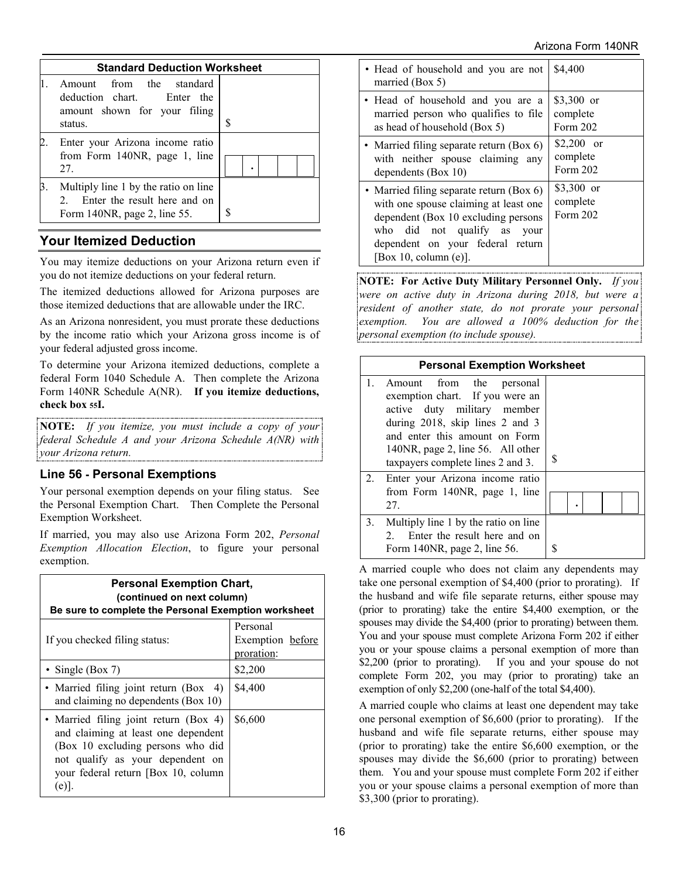| <b>Standard Deduction Worksheet</b>                                                                     |   |  |  |  |
|---------------------------------------------------------------------------------------------------------|---|--|--|--|
| Amount from the standard<br>deduction chart. Enter the<br>amount shown for your filing<br>status.       | S |  |  |  |
| Enter your Arizona income ratio<br>from Form 140NR, page 1, line<br>27.                                 |   |  |  |  |
| Multiply line 1 by the ratio on line<br>2. Enter the result here and on<br>Form 140NR, page 2, line 55. | S |  |  |  |

# **Your Itemized Deduction**

You may itemize deductions on your Arizona return even if you do not itemize deductions on your federal return.

The itemized deductions allowed for Arizona purposes are those itemized deductions that are allowable under the IRC.

As an Arizona nonresident, you must prorate these deductions by the income ratio which your Arizona gross income is of your federal adjusted gross income.

To determine your Arizona itemized deductions, complete a federal Form 1040 Schedule A. Then complete the Arizona Form 140NR Schedule A(NR). **If you itemize deductions, check box 55I.**

**NOTE:** *If you itemize, you must include a copy of your federal Schedule A and your Arizona Schedule A(NR) with your Arizona return.*

## **Line 56 - Personal Exemptions**

Your personal exemption depends on your filing status. See the Personal Exemption Chart. Then Complete the Personal Exemption Worksheet.

If married, you may also use Arizona Form 202, *Personal Exemption Allocation Election*, to figure your personal exemption.

| <b>Personal Exemption Chart,</b><br>(continued on next column)<br>Be sure to complete the Personal Exemption worksheet                                                                                 |                                            |  |  |
|--------------------------------------------------------------------------------------------------------------------------------------------------------------------------------------------------------|--------------------------------------------|--|--|
| If you checked filing status:                                                                                                                                                                          | Personal<br>Exemption before<br>proration: |  |  |
| • Single (Box 7)                                                                                                                                                                                       | \$2,200                                    |  |  |
| • Married filing joint return (Box)<br>-4)<br>and claiming no dependents (Box 10)                                                                                                                      | \$4,400                                    |  |  |
| • Married filing joint return (Box 4)<br>and claiming at least one dependent<br>(Box 10 excluding persons who did<br>not qualify as your dependent on<br>your federal return [Box 10, column]<br>(e)]. | \$6,600                                    |  |  |

| • Head of household and you are not<br>married (Box 5)                                                                                                                                                                      | \$4,400                            |
|-----------------------------------------------------------------------------------------------------------------------------------------------------------------------------------------------------------------------------|------------------------------------|
| • Head of household and you are a<br>married person who qualifies to file<br>as head of household (Box 5)                                                                                                                   | \$3,300 or<br>complete<br>Form 202 |
| • Married filing separate return (Box 6)<br>with neither spouse claiming any<br>dependents (Box 10)                                                                                                                         | \$2,200 or<br>complete<br>Form 202 |
| • Married filing separate return (Box 6)<br>with one spouse claiming at least one<br>dependent (Box 10 excluding persons)<br>who did not qualify as<br>your<br>dependent on your federal return<br>[Box 10, column $(e)$ ]. | \$3,300 or<br>complete<br>Form 202 |

**NOTE: For Active Duty Military Personnel Only.** *If you were on active duty in Arizona during 2018, but were a resident of another state, do not prorate your personal exemption. You are allowed a 100% deduction for the personal exemption (to include spouse).*

|              | <b>Personal Exemption Worksheet</b>                                                                                                                                                                                                      |   |  |  |
|--------------|------------------------------------------------------------------------------------------------------------------------------------------------------------------------------------------------------------------------------------------|---|--|--|
| $\mathbf{1}$ | Amount from the personal<br>exemption chart. If you were an<br>active duty military member<br>during 2018, skip lines 2 and 3<br>and enter this amount on Form<br>140NR, page 2, line 56. All other<br>taxpayers complete lines 2 and 3. | S |  |  |
| 2.           | Enter your Arizona income ratio<br>from Form 140NR, page 1, line<br>27.                                                                                                                                                                  |   |  |  |
| 3.           | Multiply line 1 by the ratio on line<br>2. Enter the result here and on<br>Form 140NR, page 2, line 56.                                                                                                                                  |   |  |  |

A married couple who does not claim any dependents may take one personal exemption of \$4,400 (prior to prorating). If the husband and wife file separate returns, either spouse may (prior to prorating) take the entire \$4,400 exemption, or the spouses may divide the \$4,400 (prior to prorating) between them. You and your spouse must complete Arizona Form 202 if either you or your spouse claims a personal exemption of more than \$2,200 (prior to prorating). If you and your spouse do not complete Form 202, you may (prior to prorating) take an exemption of only \$2,200 (one-half of the total \$4,400).

A married couple who claims at least one dependent may take one personal exemption of \$6,600 (prior to prorating). If the husband and wife file separate returns, either spouse may (prior to prorating) take the entire \$6,600 exemption, or the spouses may divide the \$6,600 (prior to prorating) between them. You and your spouse must complete Form 202 if either you or your spouse claims a personal exemption of more than \$3,300 (prior to prorating).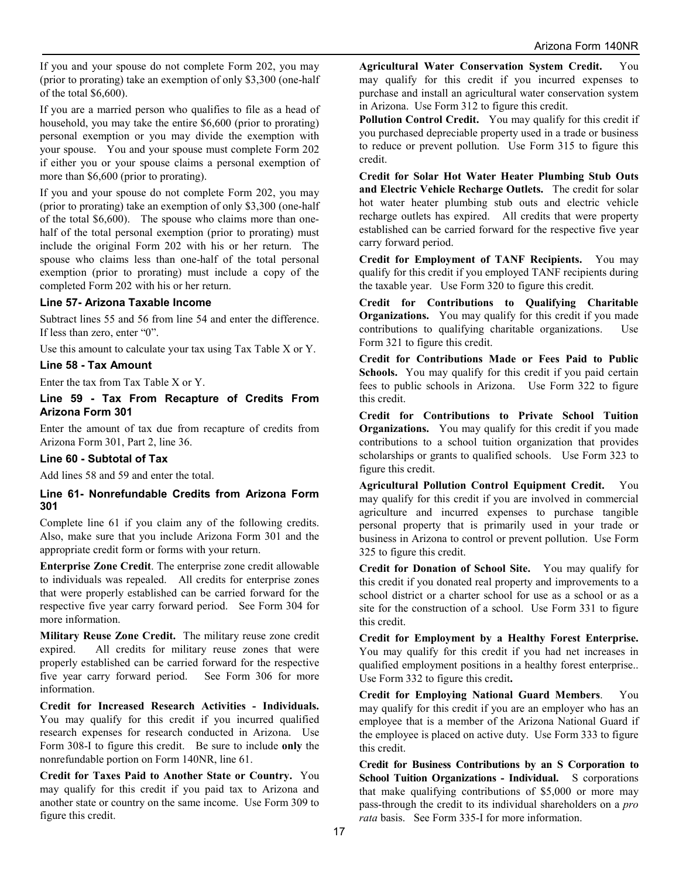If you and your spouse do not complete Form 202, you may (prior to prorating) take an exemption of only \$3,300 (one-half of the total \$6,600).

If you are a married person who qualifies to file as a head of household, you may take the entire \$6,600 (prior to prorating) personal exemption or you may divide the exemption with your spouse. You and your spouse must complete Form 202 if either you or your spouse claims a personal exemption of more than \$6,600 (prior to prorating).

If you and your spouse do not complete Form 202, you may (prior to prorating) take an exemption of only \$3,300 (one-half of the total \$6,600). The spouse who claims more than onehalf of the total personal exemption (prior to prorating) must include the original Form 202 with his or her return. The spouse who claims less than one-half of the total personal exemption (prior to prorating) must include a copy of the completed Form 202 with his or her return.

#### **Line 57- Arizona Taxable Income**

Subtract lines 55 and 56 from line 54 and enter the difference. If less than zero, enter "0".

Use this amount to calculate your tax using Tax Table X or Y.

#### **Line 58 - Tax Amount**

Enter the tax from Tax Table X or Y.

#### **Line 59 - Tax From Recapture of Credits From Arizona Form 301**

Enter the amount of tax due from recapture of credits from Arizona Form 301, Part 2, line 36.

#### **Line 60 - Subtotal of Tax**

Add lines 58 and 59 and enter the total.

#### **Line 61- Nonrefundable Credits from Arizona Form 301**

Complete line 61 if you claim any of the following credits. Also, make sure that you include Arizona Form 301 and the appropriate credit form or forms with your return.

**Enterprise Zone Credit**. The enterprise zone credit allowable to individuals was repealed. All credits for enterprise zones that were properly established can be carried forward for the respective five year carry forward period. See Form 304 for more information.

**Military Reuse Zone Credit.** The military reuse zone credit expired. All credits for military reuse zones that were properly established can be carried forward for the respective five year carry forward period. See Form 306 for more information.

**Credit for Increased Research Activities - Individuals.**  You may qualify for this credit if you incurred qualified research expenses for research conducted in Arizona. Use Form 308-I to figure this credit. Be sure to include **only** the nonrefundable portion on Form 140NR, line 61.

**Credit for Taxes Paid to Another State or Country.** You may qualify for this credit if you paid tax to Arizona and another state or country on the same income. Use Form 309 to figure this credit.

**Agricultural Water Conservation System Credit.** You may qualify for this credit if you incurred expenses to purchase and install an agricultural water conservation system in Arizona. Use Form 312 to figure this credit.

**Pollution Control Credit.** You may qualify for this credit if you purchased depreciable property used in a trade or business to reduce or prevent pollution. Use Form 315 to figure this credit.

**Credit for Solar Hot Water Heater Plumbing Stub Outs and Electric Vehicle Recharge Outlets.** The credit for solar hot water heater plumbing stub outs and electric vehicle recharge outlets has expired. All credits that were property established can be carried forward for the respective five year carry forward period.

**Credit for Employment of TANF Recipients.** You may qualify for this credit if you employed TANF recipients during the taxable year. Use Form 320 to figure this credit.

**Credit for Contributions to Qualifying Charitable Organizations.** You may qualify for this credit if you made contributions to qualifying charitable organizations. Use Form 321 to figure this credit.

**Credit for Contributions Made or Fees Paid to Public Schools.** You may qualify for this credit if you paid certain fees to public schools in Arizona. Use Form 322 to figure this credit.

**Credit for Contributions to Private School Tuition Organizations.** You may qualify for this credit if you made contributions to a school tuition organization that provides scholarships or grants to qualified schools. Use Form 323 to figure this credit.

**Agricultural Pollution Control Equipment Credit.** You may qualify for this credit if you are involved in commercial agriculture and incurred expenses to purchase tangible personal property that is primarily used in your trade or business in Arizona to control or prevent pollution. Use Form 325 to figure this credit.

**Credit for Donation of School Site.** You may qualify for this credit if you donated real property and improvements to a school district or a charter school for use as a school or as a site for the construction of a school. Use Form 331 to figure this credit.

**Credit for Employment by a Healthy Forest Enterprise.**  You may qualify for this credit if you had net increases in qualified employment positions in a healthy forest enterprise.. Use Form 332 to figure this credit**.**

**Credit for Employing National Guard Members**. You may qualify for this credit if you are an employer who has an employee that is a member of the Arizona National Guard if the employee is placed on active duty. Use Form 333 to figure this credit.

**Credit for Business Contributions by an S Corporation to School Tuition Organizations - Individual.** S corporations that make qualifying contributions of \$5,000 or more may pass-through the credit to its individual shareholders on a *pro rata* basis. See Form 335-I for more information.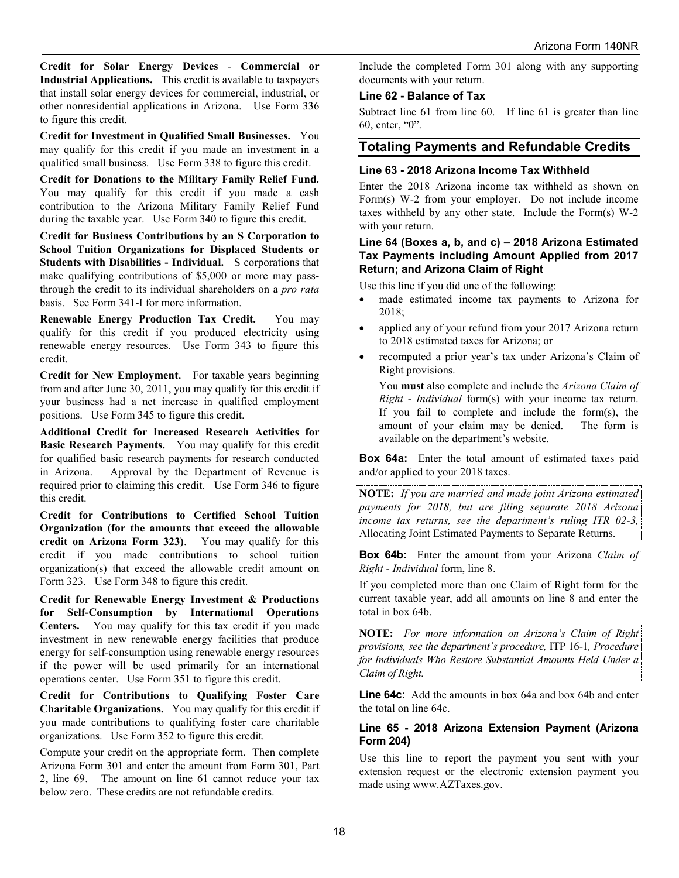**Credit for Solar Energy Devices** - **Commercial or Industrial Applications.** This credit is available to taxpayers that install solar energy devices for commercial, industrial, or other nonresidential applications in Arizona. Use Form 336 to figure this credit.

**Credit for Investment in Qualified Small Businesses.** You may qualify for this credit if you made an investment in a qualified small business. Use Form 338 to figure this credit.

**Credit for Donations to the Military Family Relief Fund.**  You may qualify for this credit if you made a cash contribution to the Arizona Military Family Relief Fund during the taxable year. Use Form 340 to figure this credit.

**Credit for Business Contributions by an S Corporation to School Tuition Organizations for Displaced Students or Students with Disabilities - Individual.** S corporations that make qualifying contributions of \$5,000 or more may passthrough the credit to its individual shareholders on a *pro rata* basis. See Form 341-I for more information.

**Renewable Energy Production Tax Credit.** You may qualify for this credit if you produced electricity using renewable energy resources. Use Form 343 to figure this credit.

**Credit for New Employment.** For taxable years beginning from and after June 30, 2011, you may qualify for this credit if your business had a net increase in qualified employment positions. Use Form 345 to figure this credit.

**Additional Credit for Increased Research Activities for Basic Research Payments.** You may qualify for this credit for qualified basic research payments for research conducted in Arizona. Approval by the Department of Revenue is required prior to claiming this credit. Use Form 346 to figure this credit.

**Credit for Contributions to Certified School Tuition Organization (for the amounts that exceed the allowable credit on Arizona Form 323)**. You may qualify for this credit if you made contributions to school tuition organization(s) that exceed the allowable credit amount on Form 323. Use Form 348 to figure this credit.

**Credit for Renewable Energy Investment & Productions for Self-Consumption by International Operations Centers.** You may qualify for this tax credit if you made investment in new renewable energy facilities that produce energy for self-consumption using renewable energy resources if the power will be used primarily for an international operations center. Use Form 351 to figure this credit.

**Credit for Contributions to Qualifying Foster Care Charitable Organizations.** You may qualify for this credit if you made contributions to qualifying foster care charitable organizations. Use Form 352 to figure this credit.

Compute your credit on the appropriate form. Then complete Arizona Form 301 and enter the amount from Form 301, Part 2, line 69. The amount on line 61 cannot reduce your tax below zero. These credits are not refundable credits.

Include the completed Form 301 along with any supporting documents with your return.

#### **Line 62 - Balance of Tax**

Subtract line 61 from line 60. If line 61 is greater than line 60, enter, "0".

## **Totaling Payments and Refundable Credits**

#### **Line 63 - 2018 Arizona Income Tax Withheld**

Enter the 2018 Arizona income tax withheld as shown on Form(s) W-2 from your employer. Do not include income taxes withheld by any other state. Include the Form(s) W-2 with your return.

#### **Line 64 (Boxes a, b, and c) – 2018 Arizona Estimated Tax Payments including Amount Applied from 2017 Return; and Arizona Claim of Right**

Use this line if you did one of the following:

- made estimated income tax payments to Arizona for 2018;
- applied any of your refund from your 2017 Arizona return to 2018 estimated taxes for Arizona; or
- recomputed a prior year's tax under Arizona's Claim of Right provisions.

You **must** also complete and include the *Arizona Claim of Right - Individual* form(s) with your income tax return. If you fail to complete and include the form(s), the amount of your claim may be denied. The form is available on the department's website.

**Box 64a:** Enter the total amount of estimated taxes paid and/or applied to your 2018 taxes.

**NOTE:** *If you are married and made joint Arizona estimated payments for 2018, but are filing separate 2018 Arizona income tax returns, see the department's ruling ITR 02-3,* Allocating Joint Estimated Payments to Separate Returns.

**Box 64b:** Enter the amount from your Arizona *Claim of Right - Individual* form, line 8.

If you completed more than one Claim of Right form for the current taxable year, add all amounts on line 8 and enter the total in box 64b.

**NOTE:** *For more information on Arizona's Claim of Right provisions, see the department's procedure,* ITP 16-1*, Procedure for Individuals Who Restore Substantial Amounts Held Under a Claim of Right.*

**Line 64c:** Add the amounts in box 64a and box 64b and enter the total on line 64c.

#### **Line 65 - 2018 Arizona Extension Payment (Arizona Form 204)**

Use this line to report the payment you sent with your extension request or the electronic extension payment you made using www.AZTaxes.gov.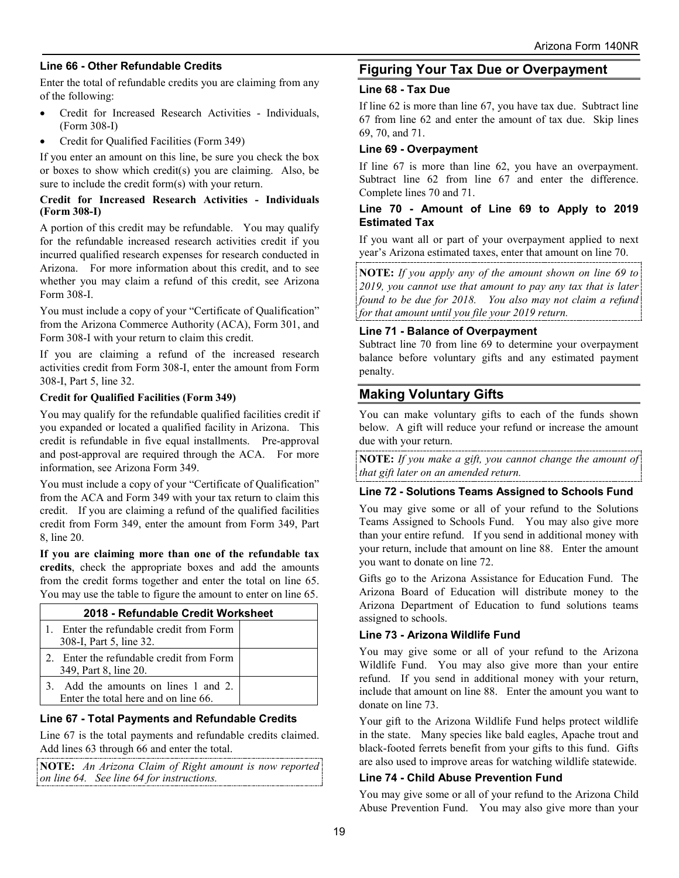### **Line 66 - Other Refundable Credits**

Enter the total of refundable credits you are claiming from any of the following:

- Credit for Increased Research Activities Individuals, (Form 308-I)
- Credit for Qualified Facilities (Form 349)

If you enter an amount on this line, be sure you check the box or boxes to show which credit(s) you are claiming. Also, be sure to include the credit form(s) with your return.

#### **Credit for Increased Research Activities - Individuals (Form 308-I)**

A portion of this credit may be refundable. You may qualify for the refundable increased research activities credit if you incurred qualified research expenses for research conducted in Arizona. For more information about this credit, and to see whether you may claim a refund of this credit, see Arizona Form 308-I.

You must include a copy of your "Certificate of Qualification" from the Arizona Commerce Authority (ACA), Form 301, and Form 308-I with your return to claim this credit.

If you are claiming a refund of the increased research activities credit from Form 308-I, enter the amount from Form 308-I, Part 5, line 32.

#### **Credit for Qualified Facilities (Form 349)**

You may qualify for the refundable qualified facilities credit if you expanded or located a qualified facility in Arizona. This credit is refundable in five equal installments. Pre-approval and post-approval are required through the ACA. For more information, see Arizona Form 349.

You must include a copy of your "Certificate of Qualification" from the ACA and Form 349 with your tax return to claim this credit. If you are claiming a refund of the qualified facilities credit from Form 349, enter the amount from Form 349, Part 8, line 20.

**If you are claiming more than one of the refundable tax credits**, check the appropriate boxes and add the amounts from the credit forms together and enter the total on line 65. You may use the table to figure the amount to enter on line 65.

| 2018 - Refundable Credit Worksheet                                        |  |  |
|---------------------------------------------------------------------------|--|--|
| 1. Enter the refundable credit from Form<br>308-I, Part 5, line 32.       |  |  |
| 2. Enter the refundable credit from Form<br>349, Part 8, line 20.         |  |  |
| Add the amounts on lines 1 and 2.<br>Enter the total here and on line 66. |  |  |

### **Line 67 - Total Payments and Refundable Credits**

Line 67 is the total payments and refundable credits claimed. Add lines 63 through 66 and enter the total.

**NOTE:** *An Arizona Claim of Right amount is now reported on line 64. See line 64 for instructions.* 

## **Figuring Your Tax Due or Overpayment**

### **Line 68 - Tax Due**

If line 62 is more than line 67, you have tax due. Subtract line 67 from line 62 and enter the amount of tax due. Skip lines 69, 70, and 71.

### **Line 69 - Overpayment**

If line 67 is more than line 62, you have an overpayment. Subtract line 62 from line 67 and enter the difference. Complete lines 70 and 71.

### **Line 70 - Amount of Line 69 to Apply to 2019 Estimated Tax**

If you want all or part of your overpayment applied to next year's Arizona estimated taxes, enter that amount on line 70.

**NOTE:** *If you apply any of the amount shown on line 69 to 2019, you cannot use that amount to pay any tax that is later found to be due for 2018. You also may not claim a refund for that amount until you file your 2019 return.*

### **Line 71 - Balance of Overpayment**

Subtract line 70 from line 69 to determine your overpayment balance before voluntary gifts and any estimated payment penalty.

## **Making Voluntary Gifts**

You can make voluntary gifts to each of the funds shown below. A gift will reduce your refund or increase the amount due with your return.

**NOTE:** *If you make a gift, you cannot change the amount of that gift later on an amended return.*

### **Line 72 - Solutions Teams Assigned to Schools Fund**

You may give some or all of your refund to the Solutions Teams Assigned to Schools Fund. You may also give more than your entire refund. If you send in additional money with your return, include that amount on line 88. Enter the amount you want to donate on line 72.

Gifts go to the Arizona Assistance for Education Fund. The Arizona Board of Education will distribute money to the Arizona Department of Education to fund solutions teams assigned to schools.

### **Line 73 - Arizona Wildlife Fund**

You may give some or all of your refund to the Arizona Wildlife Fund. You may also give more than your entire refund. If you send in additional money with your return, include that amount on line 88. Enter the amount you want to donate on line 73.

Your gift to the Arizona Wildlife Fund helps protect wildlife in the state. Many species like bald eagles, Apache trout and black-footed ferrets benefit from your gifts to this fund. Gifts are also used to improve areas for watching wildlife statewide.

### **Line 74 - Child Abuse Prevention Fund**

You may give some or all of your refund to the Arizona Child Abuse Prevention Fund. You may also give more than your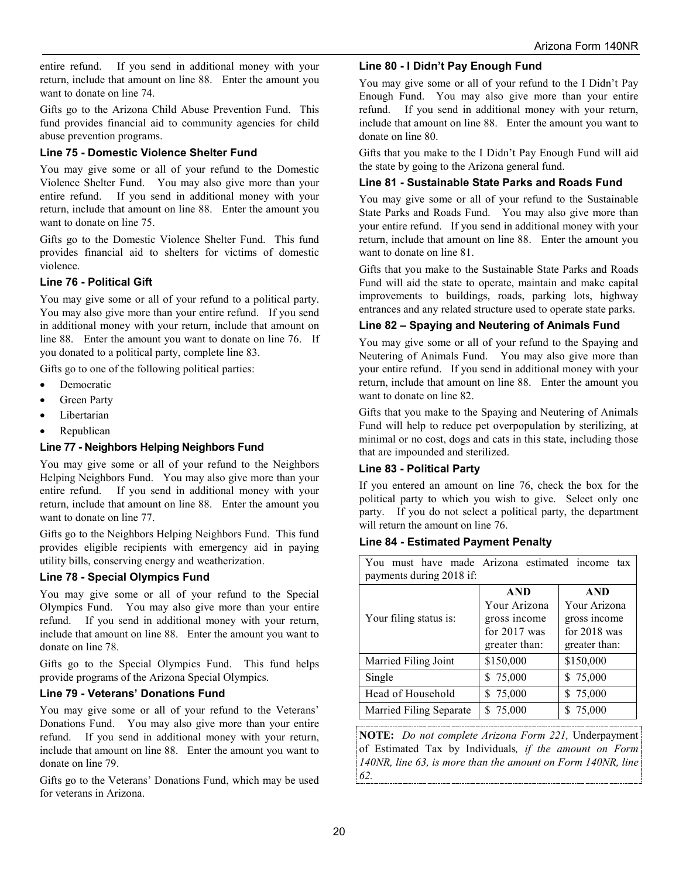entire refund. If you send in additional money with your return, include that amount on line 88. Enter the amount you want to donate on line 74.

Gifts go to the Arizona Child Abuse Prevention Fund. This fund provides financial aid to community agencies for child abuse prevention programs.

### **Line 75 - Domestic Violence Shelter Fund**

You may give some or all of your refund to the Domestic Violence Shelter Fund. You may also give more than your entire refund. If you send in additional money with your return, include that amount on line 88. Enter the amount you want to donate on line 75.

Gifts go to the Domestic Violence Shelter Fund. This fund provides financial aid to shelters for victims of domestic violence.

### **Line 76 - Political Gift**

You may give some or all of your refund to a political party. You may also give more than your entire refund. If you send in additional money with your return, include that amount on line 88. Enter the amount you want to donate on line 76. If you donated to a political party, complete line 83.

Gifts go to one of the following political parties:

- Democratic
- Green Party
- Libertarian
- **Republican**

### **Line 77 - Neighbors Helping Neighbors Fund**

You may give some or all of your refund to the Neighbors Helping Neighbors Fund. You may also give more than your entire refund. If you send in additional money with your return, include that amount on line 88. Enter the amount you want to donate on line 77.

Gifts go to the Neighbors Helping Neighbors Fund. This fund provides eligible recipients with emergency aid in paying utility bills, conserving energy and weatherization.

### **Line 78 - Special Olympics Fund**

You may give some or all of your refund to the Special Olympics Fund. You may also give more than your entire refund. If you send in additional money with your return, include that amount on line 88. Enter the amount you want to donate on line 78.

Gifts go to the Special Olympics Fund. This fund helps provide programs of the Arizona Special Olympics.

### **Line 79 - Veterans' Donations Fund**

You may give some or all of your refund to the Veterans' Donations Fund. You may also give more than your entire refund. If you send in additional money with your return, include that amount on line 88. Enter the amount you want to donate on line 79.

Gifts go to the Veterans' Donations Fund, which may be used for veterans in Arizona.

#### **Line 80 - I Didn't Pay Enough Fund**

You may give some or all of your refund to the I Didn't Pay Enough Fund. You may also give more than your entire refund. If you send in additional money with your return, include that amount on line 88. Enter the amount you want to donate on line 80.

Gifts that you make to the I Didn't Pay Enough Fund will aid the state by going to the Arizona general fund.

### **Line 81 - Sustainable State Parks and Roads Fund**

You may give some or all of your refund to the Sustainable State Parks and Roads Fund. You may also give more than your entire refund. If you send in additional money with your return, include that amount on line 88. Enter the amount you want to donate on line 81.

Gifts that you make to the Sustainable State Parks and Roads Fund will aid the state to operate, maintain and make capital improvements to buildings, roads, parking lots, highway entrances and any related structure used to operate state parks.

#### **Line 82 – Spaying and Neutering of Animals Fund**

You may give some or all of your refund to the Spaying and Neutering of Animals Fund. You may also give more than your entire refund. If you send in additional money with your return, include that amount on line 88. Enter the amount you want to donate on line 82.

Gifts that you make to the Spaying and Neutering of Animals Fund will help to reduce pet overpopulation by sterilizing, at minimal or no cost, dogs and cats in this state, including those that are impounded and sterilized.

### **Line 83 - Political Party**

If you entered an amount on line 76, check the box for the political party to which you wish to give. Select only one party. If you do not select a political party, the department will return the amount on line 76.

#### **Line 84 - Estimated Payment Penalty**

| must have made Arizona estimated income tax<br>You<br>payments during 2018 if: |                                                                               |                                                                               |
|--------------------------------------------------------------------------------|-------------------------------------------------------------------------------|-------------------------------------------------------------------------------|
| Your filing status is:                                                         | <b>AND</b><br>Your Arizona<br>gross income<br>for $2017$ was<br>greater than: | <b>AND</b><br>Your Arizona<br>gross income<br>for $2018$ was<br>greater than: |
| Married Filing Joint                                                           | \$150,000                                                                     | \$150,000                                                                     |
| Single                                                                         | \$75,000                                                                      | \$75,000                                                                      |
| Head of Household                                                              | \$75,000                                                                      | \$75,000                                                                      |
| Married Filing Separate                                                        | \$75,000                                                                      | \$75,000                                                                      |

**NOTE:** *Do not complete Arizona Form 221,* Underpayment of Estimated Tax by Individuals*, if the amount on Form 140NR, line 63, is more than the amount on Form 140NR, line 62.*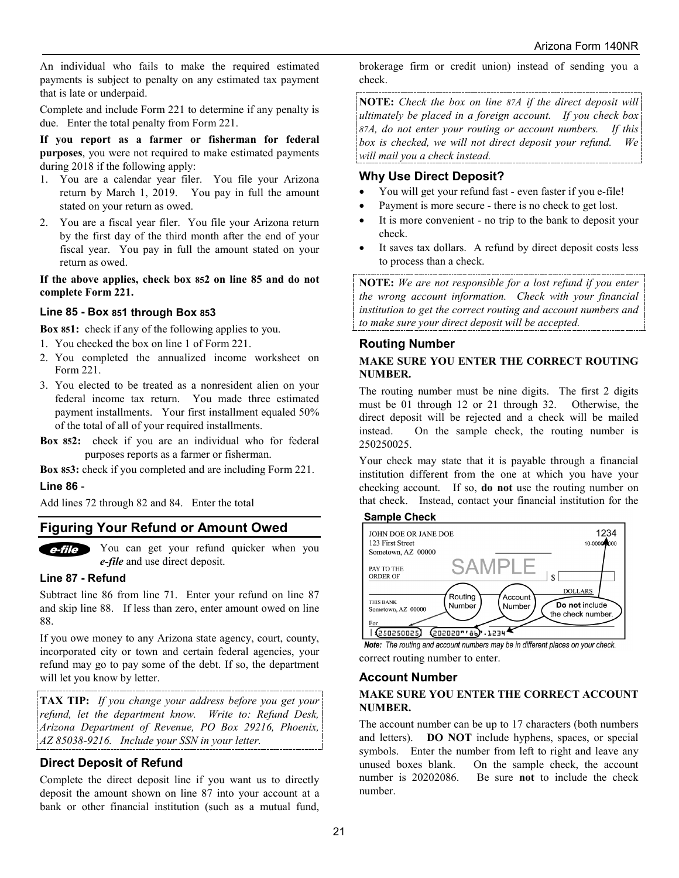An individual who fails to make the required estimated payments is subject to penalty on any estimated tax payment that is late or underpaid.

Complete and include Form 221 to determine if any penalty is due. Enter the total penalty from Form 221.

**If you report as a farmer or fisherman for federal purposes**, you were not required to make estimated payments during 2018 if the following apply:

- 1. You are a calendar year filer. You file your Arizona return by March 1, 2019. You pay in full the amount stated on your return as owed.
- 2. You are a fiscal year filer. You file your Arizona return by the first day of the third month after the end of your fiscal year. You pay in full the amount stated on your return as owed.

**If the above applies, check box 852 on line 85 and do not complete Form 221.**

### **Line 85 - Box 851 through Box 853**

**Box 851:** check if any of the following applies to you.

- 1. You checked the box on line 1 of Form 221.
- 2. You completed the annualized income worksheet on Form 221.
- 3. You elected to be treated as a nonresident alien on your federal income tax return. You made three estimated payment installments. Your first installment equaled 50% of the total of all of your required installments.
- **Box 852:** check if you are an individual who for federal purposes reports as a farmer or fisherman.

**Box 853:** check if you completed and are including Form 221. **Line 86** -

Add lines 72 through 82 and 84. Enter the total

## **Figuring Your Refund or Amount Owed**

You can get your refund quicker when you e-file *e-file* and use direct deposit.

#### **Line 87 - Refund**

Subtract line 86 from line 71. Enter your refund on line 87 and skip line 88. If less than zero, enter amount owed on line 88.

If you owe money to any Arizona state agency, court, county, incorporated city or town and certain federal agencies, your refund may go to pay some of the debt. If so, the department will let you know by letter.

**TAX TIP:** *If you change your address before you get your refund, let the department know. Write to: Refund Desk, Arizona Department of Revenue, PO Box 29216, Phoenix, AZ 85038-9216. Include your SSN in your letter.*

## **Direct Deposit of Refund**

Complete the direct deposit line if you want us to directly deposit the amount shown on line 87 into your account at a bank or other financial institution (such as a mutual fund,

brokerage firm or credit union) instead of sending you a check.

**NOTE:** *Check the box on line 87A if the direct deposit will ultimately be placed in a foreign account. If you check box 87A, do not enter your routing or account numbers. If this box is checked, we will not direct deposit your refund. We will mail you a check instead.* 

## **Why Use Direct Deposit?**

- You will get your refund fast even faster if you e-file!
- Payment is more secure there is no check to get lost.
- It is more convenient no trip to the bank to deposit your check.
- It saves tax dollars. A refund by direct deposit costs less to process than a check.

**NOTE:** *We are not responsible for a lost refund if you enter the wrong account information. Check with your financial institution to get the correct routing and account numbers and to make sure your direct deposit will be accepted.*

### **Routing Number**

### **MAKE SURE YOU ENTER THE CORRECT ROUTING NUMBER.**

The routing number must be nine digits. The first 2 digits must be 01 through 12 or 21 through 32. Otherwise, the direct deposit will be rejected and a check will be mailed instead. On the sample check, the routing number is 250250025.

Your check may state that it is payable through a financial institution different from the one at which you have your checking account. If so, **do not** use the routing number on that check. Instead, contact your financial institution for the

#### **Sample Check**



Note: The routing and account numbers may be in different places on your check. correct routing number to enter.

### **Account Number**

### **MAKE SURE YOU ENTER THE CORRECT ACCOUNT NUMBER.**

The account number can be up to 17 characters (both numbers and letters). **DO NOT** include hyphens, spaces, or special symbols. Enter the number from left to right and leave any unused boxes blank. On the sample check, the account number is 20202086. Be sure **not** to include the check number.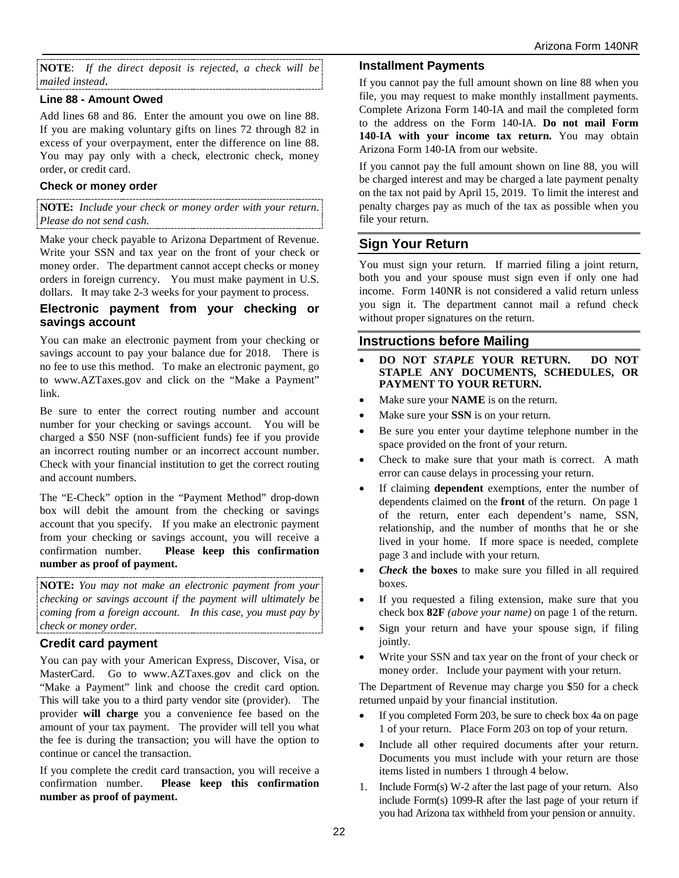**NOTE**: *If the direct deposit is rejected, a check will be mailed instead*.

### **Line 88 - Amount Owed**

Add lines 68 and 86. Enter the amount you owe on line 88. If you are making voluntary gifts on lines 72 through 82 in excess of your overpayment, enter the difference on line 88. You may pay only with a check, electronic check, money order, or credit card.

#### **Check or money order**

**NOTE:** *Include your check or money order with your return*. *Please do not send cash.*

Make your check payable to Arizona Department of Revenue. Write your SSN and tax year on the front of your check or money order. The department cannot accept checks or money orders in foreign currency. You must make payment in U.S. dollars. It may take 2-3 weeks for your payment to process.

### **Electronic payment from your checking or savings account**

You can make an electronic payment from your checking or savings account to pay your balance due for 2018. There is no fee to use this method. To make an electronic payment, go to www.AZTaxes.gov and click on the "Make a Payment" link.

Be sure to enter the correct routing number and account number for your checking or savings account. You will be charged a \$50 NSF (non-sufficient funds) fee if you provide an incorrect routing number or an incorrect account number. Check with your financial institution to get the correct routing and account numbers.

The "E-Check" option in the "Payment Method" drop-down box will debit the amount from the checking or savings account that you specify. If you make an electronic payment from your checking or savings account, you will receive a confirmation number. **Please keep this confirmation number as proof of payment.**

**NOTE:** *You may not make an electronic payment from your checking or savings account if the payment will ultimately be coming from a foreign account. In this case, you must pay by check or money order.* 

## **Credit card payment**

You can pay with your American Express, Discover, Visa, or MasterCard. Go to www.AZTaxes.gov and click on the "Make a Payment" link and choose the credit card option. This will take you to a third party vendor site (provider). The provider **will charge** you a convenience fee based on the amount of your tax payment. The provider will tell you what the fee is during the transaction; you will have the option to continue or cancel the transaction.

If you complete the credit card transaction, you will receive a confirmation number. **Please keep this confirmation number as proof of payment.**

#### **Installment Payments**

If you cannot pay the full amount shown on line 88 when you file, you may request to make monthly installment payments. Complete Arizona Form 140-IA and mail the completed form to the address on the Form 140-IA. **Do not mail Form 140**-**IA with your income tax return.** You may obtain Arizona Form 140-IA from our website.

If you cannot pay the full amount shown on line 88, you will be charged interest and may be charged a late payment penalty on the tax not paid by April 15, 2019. To limit the interest and penalty charges pay as much of the tax as possible when you file your return.

## **Sign Your Return**

You must sign your return. If married filing a joint return, both you and your spouse must sign even if only one had income. Form 140NR is not considered a valid return unless you sign it. The department cannot mail a refund check without proper signatures on the return.

## **Instructions before Mailing**

- **DO NOT** *STAPLE* **YOUR RETURN. DO NOT STAPLE ANY DOCUMENTS, SCHEDULES, OR PAYMENT TO YOUR RETURN.**
- Make sure your **NAME** is on the return.
- Make sure your **SSN** is on your return.
- Be sure you enter your daytime telephone number in the space provided on the front of your return.
- Check to make sure that your math is correct. A math error can cause delays in processing your return.
- If claiming **dependent** exemptions, enter the number of dependents claimed on the **front** of the return. On page 1 of the return, enter each dependent's name, SSN, relationship, and the number of months that he or she lived in your home. If more space is needed, complete page 3 and include with your return.
- *Check* **the boxes** to make sure you filled in all required boxes.
- If you requested a filing extension, make sure that you check box **82F** *(above your name)* on page 1 of the return.
- Sign your return and have your spouse sign, if filing jointly.
- Write your SSN and tax year on the front of your check or money order. Include your payment with your return.

The Department of Revenue may charge you \$50 for a check returned unpaid by your financial institution.

- If you completed Form 203, be sure to check box 4a on page 1 of your return. Place Form 203 on top of your return.
- Include all other required documents after your return. Documents you must include with your return are those items listed in numbers 1 through 4 below.
- 1. Include Form(s) W-2 after the last page of your return. Also include Form(s) 1099-R after the last page of your return if you had Arizona tax withheld from your pension or annuity.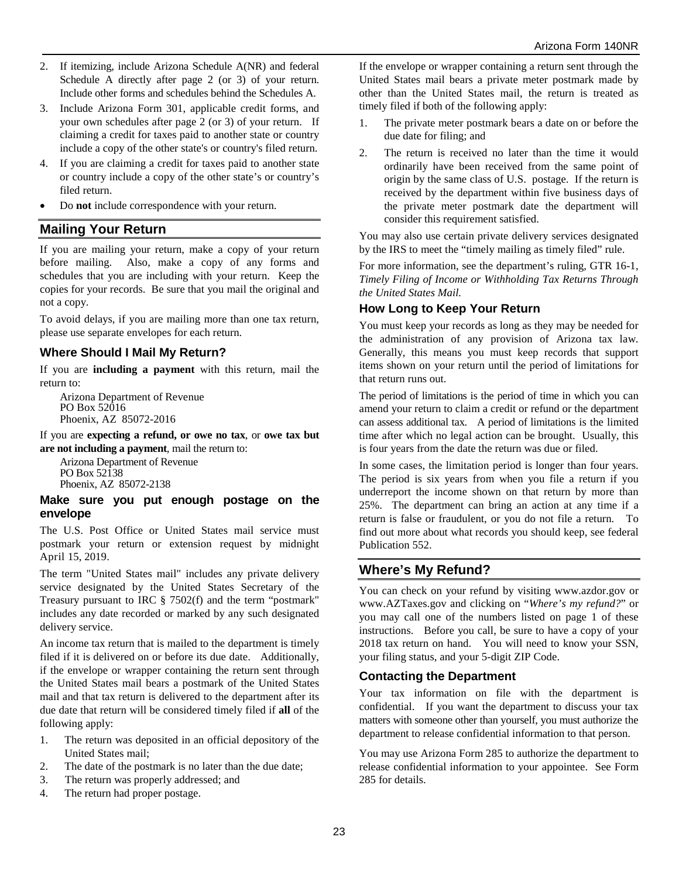- 2. If itemizing, include Arizona Schedule A(NR) and federal Schedule A directly after page 2 (or 3) of your return. Include other forms and schedules behind the Schedules A.
- 3. Include Arizona Form 301, applicable credit forms, and your own schedules after page 2 (or 3) of your return. If claiming a credit for taxes paid to another state or country include a copy of the other state's or country's filed return.
- 4. If you are claiming a credit for taxes paid to another state or country include a copy of the other state's or country's filed return.
- Do **not** include correspondence with your return.

## **Mailing Your Return**

If you are mailing your return, make a copy of your return before mailing. Also, make a copy of any forms and schedules that you are including with your return. Keep the copies for your records. Be sure that you mail the original and not a copy.

To avoid delays, if you are mailing more than one tax return, please use separate envelopes for each return.

## **Where Should I Mail My Return?**

If you are **including a payment** with this return, mail the return to:

Arizona Department of Revenue PO Box 52016 Phoenix, AZ 85072-2016

If you are **expecting a refund, or owe no tax**, or **owe tax but are not including a payment**, mail the return to:

Arizona Department of Revenue PO Box 52138 Phoenix, AZ 85072-2138

#### **Make sure you put enough postage on the envelope**

The U.S. Post Office or United States mail service must postmark your return or extension request by midnight April 15, 2019.

The term "United States mail" includes any private delivery service designated by the United States Secretary of the Treasury pursuant to IRC § 7502(f) and the term "postmark" includes any date recorded or marked by any such designated delivery service.

An income tax return that is mailed to the department is timely filed if it is delivered on or before its due date. Additionally, if the envelope or wrapper containing the return sent through the United States mail bears a postmark of the United States mail and that tax return is delivered to the department after its due date that return will be considered timely filed if **all** of the following apply:

- 1. The return was deposited in an official depository of the United States mail;
- 2. The date of the postmark is no later than the due date;
- 3. The return was properly addressed; and
- 4. The return had proper postage.

If the envelope or wrapper containing a return sent through the United States mail bears a private meter postmark made by other than the United States mail, the return is treated as timely filed if both of the following apply:

- 1. The private meter postmark bears a date on or before the due date for filing; and
- 2. The return is received no later than the time it would ordinarily have been received from the same point of origin by the same class of U.S. postage. If the return is received by the department within five business days of the private meter postmark date the department will consider this requirement satisfied.

You may also use certain private delivery services designated by the IRS to meet the "timely mailing as timely filed" rule.

For more information, see the department's ruling, GTR 16-1, *Timely Filing of Income or Withholding Tax Returns Through the United States Mail.*

## **How Long to Keep Your Return**

You must keep your records as long as they may be needed for the administration of any provision of Arizona tax law. Generally, this means you must keep records that support items shown on your return until the period of limitations for that return runs out.

The period of limitations is the period of time in which you can amend your return to claim a credit or refund or the department can assess additional tax. A period of limitations is the limited time after which no legal action can be brought. Usually, this is four years from the date the return was due or filed.

In some cases, the limitation period is longer than four years. The period is six years from when you file a return if you underreport the income shown on that return by more than 25%. The department can bring an action at any time if a return is false or fraudulent, or you do not file a return. To find out more about what records you should keep, see federal Publication 552.

## **Where's My Refund?**

You can check on your refund by visiting www.azdor.gov or www.AZTaxes.gov and clicking on "*Where's my refund?*" or you may call one of the numbers listed on page 1 of these instructions. Before you call, be sure to have a copy of your 2018 tax return on hand. You will need to know your SSN, your filing status, and your 5-digit ZIP Code.

## **Contacting the Department**

Your tax information on file with the department is confidential. If you want the department to discuss your tax matters with someone other than yourself, you must authorize the department to release confidential information to that person.

You may use Arizona Form 285 to authorize the department to release confidential information to your appointee. See Form 285 for details.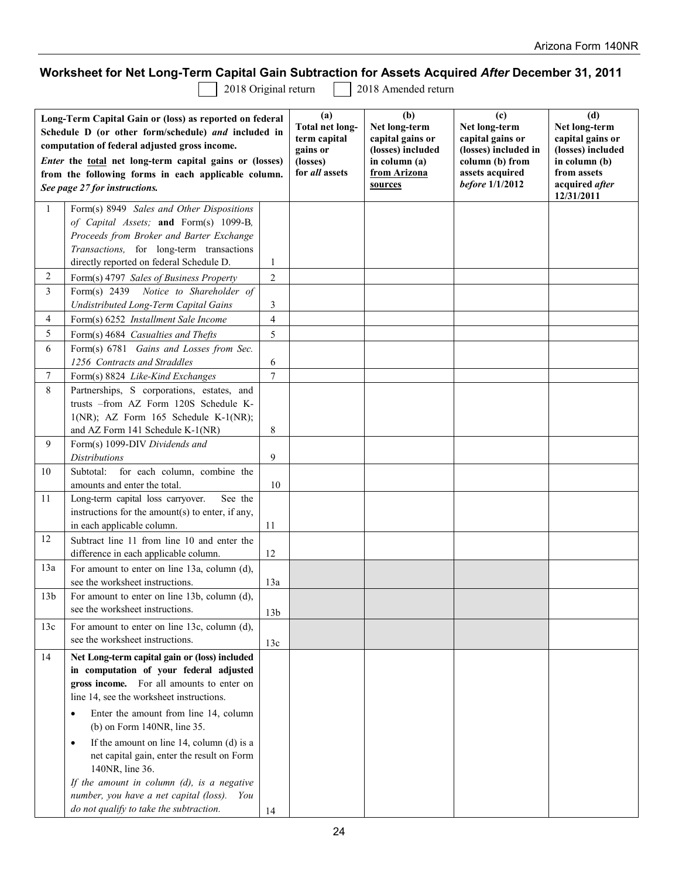# **Worksheet for Net Long-Term Capital Gain Subtraction for Assets Acquired** *After* **December 31, 2011**

2018 Original return 2018 Amended return

| Long-Term Capital Gain or (loss) as reported on federal<br>Schedule D (or other form/schedule) and included in<br>computation of federal adjusted gross income.<br>Enter the total net long-term capital gains or (losses)<br>from the following forms in each applicable column.<br>See page 27 for instructions. |                                                                                |                 | (a)<br><b>Total net long-</b><br>term capital<br>gains or<br>(losses)<br>for all assets | (b)<br>Net long-term<br>capital gains or<br>(losses) included<br>in column (a)<br>from Arizona<br>sources | (c)<br>Net long-term<br>capital gains or<br>(losses) included in<br>column (b) from<br>assets acquired<br>before 1/1/2012 | (d)<br>Net long-term<br>capital gains or<br>(losses) included<br>in column (b)<br>from assets<br>acquired after<br>12/31/2011 |
|--------------------------------------------------------------------------------------------------------------------------------------------------------------------------------------------------------------------------------------------------------------------------------------------------------------------|--------------------------------------------------------------------------------|-----------------|-----------------------------------------------------------------------------------------|-----------------------------------------------------------------------------------------------------------|---------------------------------------------------------------------------------------------------------------------------|-------------------------------------------------------------------------------------------------------------------------------|
| 1                                                                                                                                                                                                                                                                                                                  | Form(s) 8949 Sales and Other Dispositions                                      |                 |                                                                                         |                                                                                                           |                                                                                                                           |                                                                                                                               |
|                                                                                                                                                                                                                                                                                                                    | of Capital Assets; and Form(s) 1099-B,                                         |                 |                                                                                         |                                                                                                           |                                                                                                                           |                                                                                                                               |
|                                                                                                                                                                                                                                                                                                                    | Proceeds from Broker and Barter Exchange                                       |                 |                                                                                         |                                                                                                           |                                                                                                                           |                                                                                                                               |
|                                                                                                                                                                                                                                                                                                                    | Transactions, for long-term transactions                                       |                 |                                                                                         |                                                                                                           |                                                                                                                           |                                                                                                                               |
|                                                                                                                                                                                                                                                                                                                    | directly reported on federal Schedule D.                                       | $\mathbf{1}$    |                                                                                         |                                                                                                           |                                                                                                                           |                                                                                                                               |
| 2                                                                                                                                                                                                                                                                                                                  | Form(s) 4797 Sales of Business Property                                        | 2               |                                                                                         |                                                                                                           |                                                                                                                           |                                                                                                                               |
| 3                                                                                                                                                                                                                                                                                                                  | Form(s) 2439 Notice to Shareholder of<br>Undistributed Long-Term Capital Gains | 3               |                                                                                         |                                                                                                           |                                                                                                                           |                                                                                                                               |
| 4                                                                                                                                                                                                                                                                                                                  | Form(s) 6252 Installment Sale Income                                           | 4               |                                                                                         |                                                                                                           |                                                                                                                           |                                                                                                                               |
| 5                                                                                                                                                                                                                                                                                                                  | Form(s) 4684 Casualties and Thefts                                             | 5               |                                                                                         |                                                                                                           |                                                                                                                           |                                                                                                                               |
| 6                                                                                                                                                                                                                                                                                                                  | Form(s) 6781 Gains and Losses from Sec.                                        |                 |                                                                                         |                                                                                                           |                                                                                                                           |                                                                                                                               |
|                                                                                                                                                                                                                                                                                                                    | 1256 Contracts and Straddles                                                   | 6               |                                                                                         |                                                                                                           |                                                                                                                           |                                                                                                                               |
| 7                                                                                                                                                                                                                                                                                                                  | Form(s) 8824 Like-Kind Exchanges                                               | $\overline{7}$  |                                                                                         |                                                                                                           |                                                                                                                           |                                                                                                                               |
| 8                                                                                                                                                                                                                                                                                                                  | Partnerships, S corporations, estates, and                                     |                 |                                                                                         |                                                                                                           |                                                                                                                           |                                                                                                                               |
|                                                                                                                                                                                                                                                                                                                    | trusts -from AZ Form 120S Schedule K-                                          |                 |                                                                                         |                                                                                                           |                                                                                                                           |                                                                                                                               |
|                                                                                                                                                                                                                                                                                                                    | $1(NR)$ ; AZ Form $165$ Schedule K- $1(NR)$ ;                                  |                 |                                                                                         |                                                                                                           |                                                                                                                           |                                                                                                                               |
|                                                                                                                                                                                                                                                                                                                    | and AZ Form 141 Schedule K-1(NR)                                               | 8               |                                                                                         |                                                                                                           |                                                                                                                           |                                                                                                                               |
| 9                                                                                                                                                                                                                                                                                                                  | Form(s) 1099-DIV Dividends and                                                 |                 |                                                                                         |                                                                                                           |                                                                                                                           |                                                                                                                               |
|                                                                                                                                                                                                                                                                                                                    | <b>Distributions</b>                                                           | 9               |                                                                                         |                                                                                                           |                                                                                                                           |                                                                                                                               |
| 10                                                                                                                                                                                                                                                                                                                 | Subtotal: for each column, combine the                                         |                 |                                                                                         |                                                                                                           |                                                                                                                           |                                                                                                                               |
|                                                                                                                                                                                                                                                                                                                    | amounts and enter the total.                                                   | 10              |                                                                                         |                                                                                                           |                                                                                                                           |                                                                                                                               |
| 11                                                                                                                                                                                                                                                                                                                 | Long-term capital loss carryover.<br>See the                                   |                 |                                                                                         |                                                                                                           |                                                                                                                           |                                                                                                                               |
|                                                                                                                                                                                                                                                                                                                    | instructions for the amount(s) to enter, if any,<br>in each applicable column. | 11              |                                                                                         |                                                                                                           |                                                                                                                           |                                                                                                                               |
| 12                                                                                                                                                                                                                                                                                                                 | Subtract line 11 from line 10 and enter the                                    |                 |                                                                                         |                                                                                                           |                                                                                                                           |                                                                                                                               |
|                                                                                                                                                                                                                                                                                                                    | difference in each applicable column.                                          | 12              |                                                                                         |                                                                                                           |                                                                                                                           |                                                                                                                               |
| 13a                                                                                                                                                                                                                                                                                                                | For amount to enter on line 13a, column (d),                                   |                 |                                                                                         |                                                                                                           |                                                                                                                           |                                                                                                                               |
|                                                                                                                                                                                                                                                                                                                    | see the worksheet instructions.                                                | 13a             |                                                                                         |                                                                                                           |                                                                                                                           |                                                                                                                               |
| 13b                                                                                                                                                                                                                                                                                                                | For amount to enter on line 13b, column (d),                                   |                 |                                                                                         |                                                                                                           |                                                                                                                           |                                                                                                                               |
|                                                                                                                                                                                                                                                                                                                    | see the worksheet instructions.                                                | 13 <sub>b</sub> |                                                                                         |                                                                                                           |                                                                                                                           |                                                                                                                               |
| 13c                                                                                                                                                                                                                                                                                                                | For amount to enter on line 13c, column (d),                                   |                 |                                                                                         |                                                                                                           |                                                                                                                           |                                                                                                                               |
|                                                                                                                                                                                                                                                                                                                    | see the worksheet instructions.                                                | 13c             |                                                                                         |                                                                                                           |                                                                                                                           |                                                                                                                               |
| 14                                                                                                                                                                                                                                                                                                                 | Net Long-term capital gain or (loss) included                                  |                 |                                                                                         |                                                                                                           |                                                                                                                           |                                                                                                                               |
|                                                                                                                                                                                                                                                                                                                    | in computation of your federal adjusted                                        |                 |                                                                                         |                                                                                                           |                                                                                                                           |                                                                                                                               |
|                                                                                                                                                                                                                                                                                                                    | gross income. For all amounts to enter on                                      |                 |                                                                                         |                                                                                                           |                                                                                                                           |                                                                                                                               |
|                                                                                                                                                                                                                                                                                                                    | line 14, see the worksheet instructions.                                       |                 |                                                                                         |                                                                                                           |                                                                                                                           |                                                                                                                               |
|                                                                                                                                                                                                                                                                                                                    | Enter the amount from line 14, column<br>$\bullet$                             |                 |                                                                                         |                                                                                                           |                                                                                                                           |                                                                                                                               |
|                                                                                                                                                                                                                                                                                                                    | (b) on Form 140NR, line 35.                                                    |                 |                                                                                         |                                                                                                           |                                                                                                                           |                                                                                                                               |
|                                                                                                                                                                                                                                                                                                                    | If the amount on line $14$ , column (d) is a<br>$\bullet$                      |                 |                                                                                         |                                                                                                           |                                                                                                                           |                                                                                                                               |
|                                                                                                                                                                                                                                                                                                                    | net capital gain, enter the result on Form                                     |                 |                                                                                         |                                                                                                           |                                                                                                                           |                                                                                                                               |
|                                                                                                                                                                                                                                                                                                                    | 140NR, line 36.                                                                |                 |                                                                                         |                                                                                                           |                                                                                                                           |                                                                                                                               |
|                                                                                                                                                                                                                                                                                                                    | If the amount in column $(d)$ , is a negative                                  |                 |                                                                                         |                                                                                                           |                                                                                                                           |                                                                                                                               |
|                                                                                                                                                                                                                                                                                                                    | number, you have a net capital (loss).<br>You                                  |                 |                                                                                         |                                                                                                           |                                                                                                                           |                                                                                                                               |
|                                                                                                                                                                                                                                                                                                                    | do not qualify to take the subtraction.                                        | 14              |                                                                                         |                                                                                                           |                                                                                                                           |                                                                                                                               |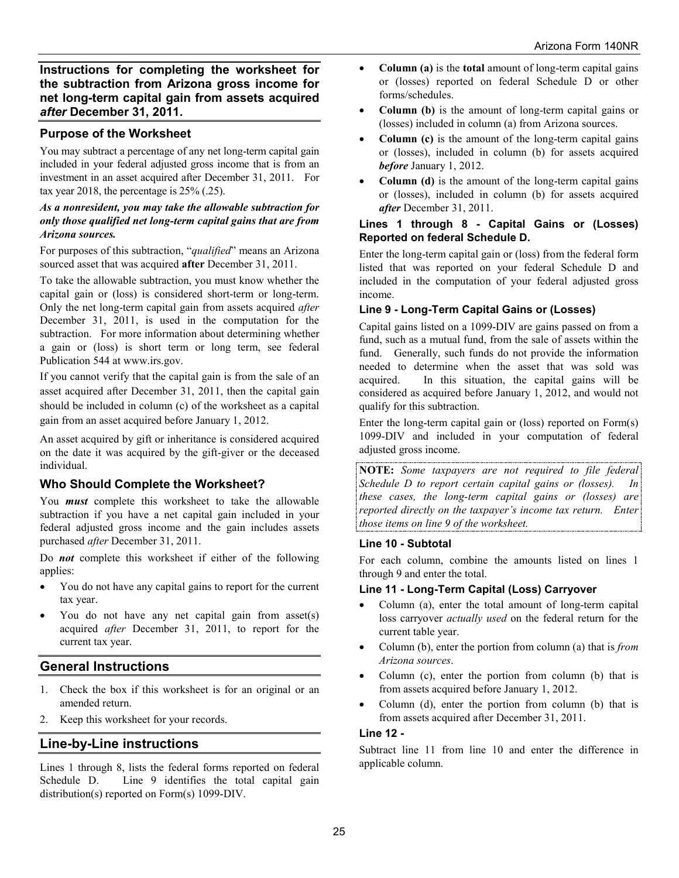**Instructions for completing the worksheet for the subtraction from Arizona gross income for net long-term capital gain from assets acquired**  *after* **December 31, 2011.**

## **Purpose of the Worksheet**

You may subtract a percentage of any net long-term capital gain included in your federal adjusted gross income that is from an investment in an asset acquired after December 31, 2011. For tax year 2018, the percentage is 25% (.25).

#### *As a nonresident, you may take the allowable subtraction for only those qualified net long-term capital gains that are from Arizona sources.*

For purposes of this subtraction, "*qualified*" means an Arizona sourced asset that was acquired **after** December 31, 2011.

To take the allowable subtraction, you must know whether the capital gain or (loss) is considered short-term or long-term. Only the net long-term capital gain from assets acquired *after*  December 31, 2011, is used in the computation for the subtraction. For more information about determining whether a gain or (loss) is short term or long term, see federal Publication 544 at www.irs.gov.

If you cannot verify that the capital gain is from the sale of an asset acquired after December 31, 2011, then the capital gain should be included in column (c) of the worksheet as a capital gain from an asset acquired before January 1, 2012.

An asset acquired by gift or inheritance is considered acquired on the date it was acquired by the gift-giver or the deceased individual.

## **Who Should Complete the Worksheet?**

You *must* complete this worksheet to take the allowable subtraction if you have a net capital gain included in your federal adjusted gross income and the gain includes assets purchased *after* December 31, 2011.

Do *not* complete this worksheet if either of the following applies:

- You do not have any capital gains to report for the current tax year.
- You do not have any net capital gain from asset(s) acquired *after* December 31, 2011, to report for the current tax year.

## **General Instructions**

- 1. Check the box if this worksheet is for an original or an amended return.
- 2. Keep this worksheet for your records.

## **Line-by-Line instructions**

Lines 1 through 8, lists the federal forms reported on federal Schedule D. Line 9 identifies the total capital gain distribution(s) reported on Form(s) 1099-DIV.

- **Column (a)** is the **total** amount of long-term capital gains or (losses) reported on federal Schedule D or other forms/schedules.
- **Column (b)** is the amount of long-term capital gains or (losses) included in column (a) from Arizona sources.
- **Column (c)** is the amount of the long-term capital gains or (losses), included in column (b) for assets acquired *before* January 1, 2012.
- **Column (d)** is the amount of the long-term capital gains or (losses), included in column (b) for assets acquired *after* December 31, 2011.

#### **Lines 1 through 8 - Capital Gains or (Losses) Reported on federal Schedule D.**

Enter the long-term capital gain or (loss) from the federal form listed that was reported on your federal Schedule D and included in the computation of your federal adjusted gross income.

### **Line 9 - Long-Term Capital Gains or (Losses)**

Capital gains listed on a 1099-DIV are gains passed on from a fund, such as a mutual fund, from the sale of assets within the fund. Generally, such funds do not provide the information needed to determine when the asset that was sold was acquired. In this situation, the capital gains will be considered as acquired before January 1, 2012, and would not qualify for this subtraction.

Enter the long-term capital gain or (loss) reported on Form(s) 1099-DIV and included in your computation of federal adjusted gross income.

**NOTE:** *Some taxpayers are not required to file federal Schedule D to report certain capital gains or (losses). In these cases, the long-term capital gains or (losses) are reported directly on the taxpayer's income tax return. Enter those items on line 9 of the worksheet.*

#### **Line 10 - Subtotal**

For each column, combine the amounts listed on lines 1 through 9 and enter the total.

### **Line 11 - Long-Term Capital (Loss) Carryover**

- Column (a), enter the total amount of long-term capital loss carryover *actually used* on the federal return for the current table year.
- Column (b), enter the portion from column (a) that is *from Arizona sources*.
- Column (c), enter the portion from column (b) that is from assets acquired before January 1, 2012.
- Column (d), enter the portion from column (b) that is from assets acquired after December 31, 2011.

### **Line 12 -**

Subtract line 11 from line 10 and enter the difference in applicable column.